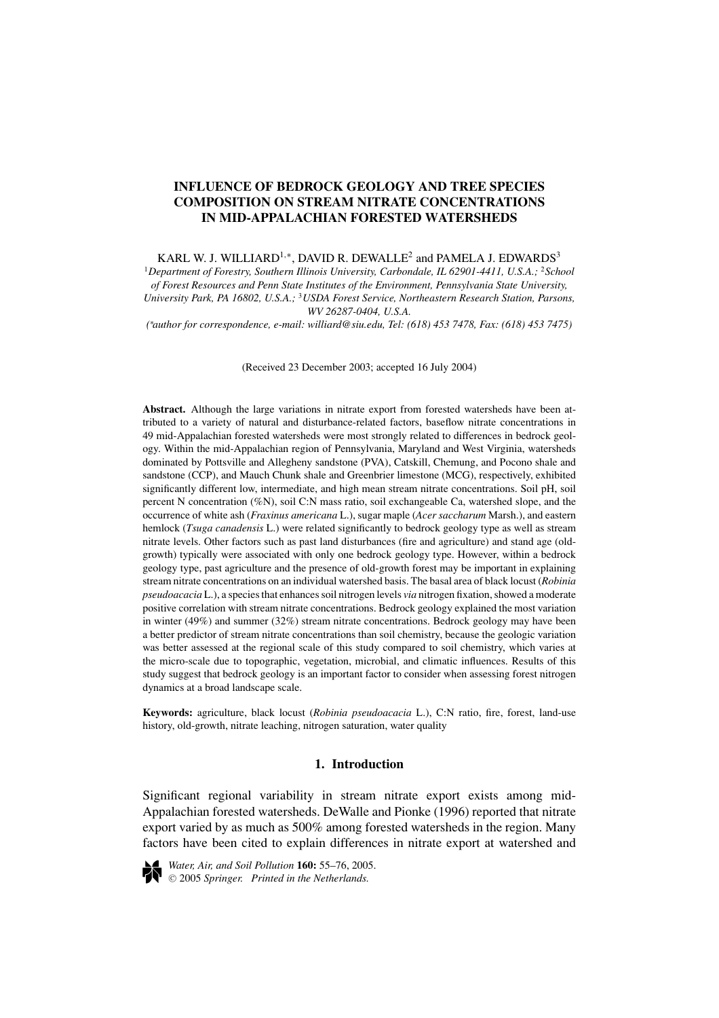## **INFLUENCE OF BEDROCK GEOLOGY AND TREE SPECIES COMPOSITION ON STREAM NITRATE CONCENTRATIONS IN MID-APPALACHIAN FORESTED WATERSHEDS**

KARL W. J. WILLIARD<sup>1,∗</sup>, DAVID R. DEWALLE<sup>2</sup> and PAMELA J. EDWARDS<sup>3</sup>

<sup>1</sup>*Department of Forestry, Southern Illinois University, Carbondale, IL 62901-4411, U.S.A.;* <sup>2</sup>*School of Forest Resources and Penn State Institutes of the Environment, Pennsylvania State University,*

*University Park, PA 16802, U.S.A.;* <sup>3</sup>*USDA Forest Service, Northeastern Research Station, Parsons, WV 26287-0404, U.S.A.*

*(* ∗ *author for correspondence, e-mail: williard@siu.edu, Tel: (618) 453 7478, Fax: (618) 453 7475)*

(Received 23 December 2003; accepted 16 July 2004)

**Abstract.** Although the large variations in nitrate export from forested watersheds have been attributed to a variety of natural and disturbance-related factors, baseflow nitrate concentrations in 49 mid-Appalachian forested watersheds were most strongly related to differences in bedrock geology. Within the mid-Appalachian region of Pennsylvania, Maryland and West Virginia, watersheds dominated by Pottsville and Allegheny sandstone (PVA), Catskill, Chemung, and Pocono shale and sandstone (CCP), and Mauch Chunk shale and Greenbrier limestone (MCG), respectively, exhibited significantly different low, intermediate, and high mean stream nitrate concentrations. Soil pH, soil percent N concentration (%N), soil C:N mass ratio, soil exchangeable Ca, watershed slope, and the occurrence of white ash (*Fraxinus americana* L.), sugar maple (*Acer saccharum* Marsh.), and eastern hemlock (*Tsuga canadensis* L.) were related significantly to bedrock geology type as well as stream nitrate levels. Other factors such as past land disturbances (fire and agriculture) and stand age (oldgrowth) typically were associated with only one bedrock geology type. However, within a bedrock geology type, past agriculture and the presence of old-growth forest may be important in explaining stream nitrate concentrations on an individual watershed basis. The basal area of black locust (*Robinia pseudoacacia* L.), a species that enhances soil nitrogen levels *via* nitrogen fixation, showed a moderate positive correlation with stream nitrate concentrations. Bedrock geology explained the most variation in winter (49%) and summer (32%) stream nitrate concentrations. Bedrock geology may have been a better predictor of stream nitrate concentrations than soil chemistry, because the geologic variation was better assessed at the regional scale of this study compared to soil chemistry, which varies at the micro-scale due to topographic, vegetation, microbial, and climatic influences. Results of this study suggest that bedrock geology is an important factor to consider when assessing forest nitrogen dynamics at a broad landscape scale.

**Keywords:** agriculture, black locust (*Robinia pseudoacacia* L.), C:N ratio, fire, forest, land-use history, old-growth, nitrate leaching, nitrogen saturation, water quality

## **1. Introduction**

Significant regional variability in stream nitrate export exists among mid-Appalachian forested watersheds. DeWalle and Pionke (1996) reported that nitrate export varied by as much as 500% among forested watersheds in the region. Many factors have been cited to explain differences in nitrate export at watershed and



*Water, Air, and Soil Pollution* **160:** 55–76, 2005. -<sup>C</sup> 2005 *Springer. Printed in the Netherlands.*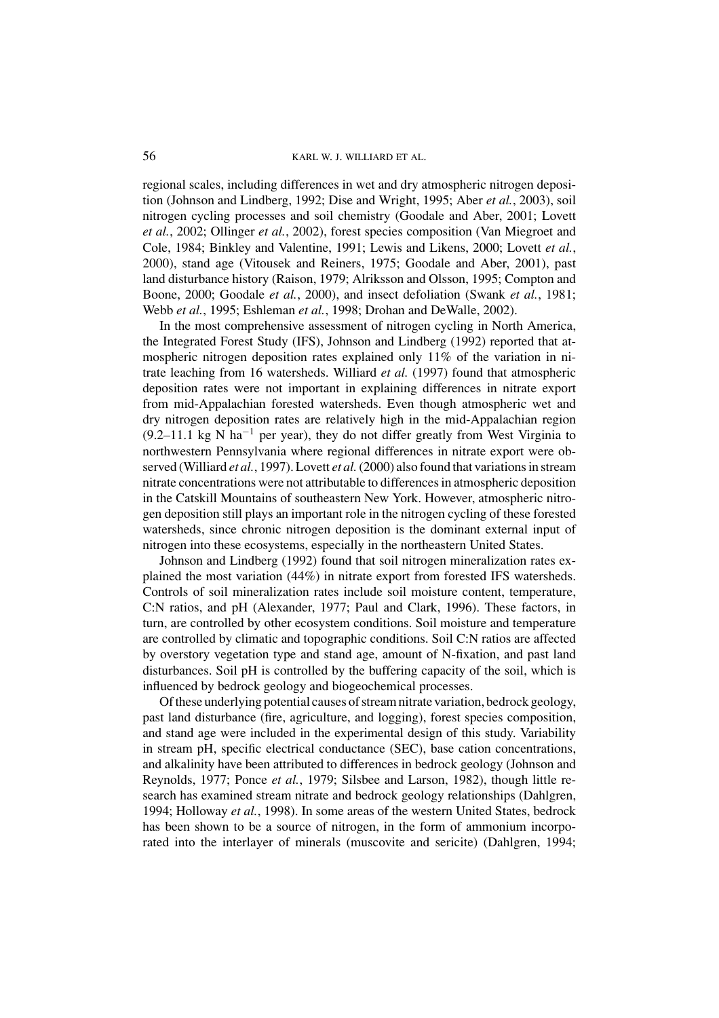regional scales, including differences in wet and dry atmospheric nitrogen deposition (Johnson and Lindberg, 1992; Dise and Wright, 1995; Aber *et al.*, 2003), soil nitrogen cycling processes and soil chemistry (Goodale and Aber, 2001; Lovett *et al.*, 2002; Ollinger *et al.*, 2002), forest species composition (Van Miegroet and Cole, 1984; Binkley and Valentine, 1991; Lewis and Likens, 2000; Lovett *et al.*, 2000), stand age (Vitousek and Reiners, 1975; Goodale and Aber, 2001), past land disturbance history (Raison, 1979; Alriksson and Olsson, 1995; Compton and Boone, 2000; Goodale *et al.*, 2000), and insect defoliation (Swank *et al.*, 1981; Webb *et al.*, 1995; Eshleman *et al.*, 1998; Drohan and DeWalle, 2002).

In the most comprehensive assessment of nitrogen cycling in North America, the Integrated Forest Study (IFS), Johnson and Lindberg (1992) reported that atmospheric nitrogen deposition rates explained only 11% of the variation in nitrate leaching from 16 watersheds. Williard *et al.* (1997) found that atmospheric deposition rates were not important in explaining differences in nitrate export from mid-Appalachian forested watersheds. Even though atmospheric wet and dry nitrogen deposition rates are relatively high in the mid-Appalachian region  $(9.2–11.1 \text{ kg N} \text{ ha}^{-1}$  per year), they do not differ greatly from West Virginia to northwestern Pennsylvania where regional differences in nitrate export were observed (Williard *et al.*, 1997). Lovett *et al.*(2000) also found that variations in stream nitrate concentrations were not attributable to differences in atmospheric deposition in the Catskill Mountains of southeastern New York. However, atmospheric nitrogen deposition still plays an important role in the nitrogen cycling of these forested watersheds, since chronic nitrogen deposition is the dominant external input of nitrogen into these ecosystems, especially in the northeastern United States.

Johnson and Lindberg (1992) found that soil nitrogen mineralization rates explained the most variation (44%) in nitrate export from forested IFS watersheds. Controls of soil mineralization rates include soil moisture content, temperature, C:N ratios, and pH (Alexander, 1977; Paul and Clark, 1996). These factors, in turn, are controlled by other ecosystem conditions. Soil moisture and temperature are controlled by climatic and topographic conditions. Soil C:N ratios are affected by overstory vegetation type and stand age, amount of N-fixation, and past land disturbances. Soil pH is controlled by the buffering capacity of the soil, which is influenced by bedrock geology and biogeochemical processes.

Of these underlying potential causes of stream nitrate variation, bedrock geology, past land disturbance (fire, agriculture, and logging), forest species composition, and stand age were included in the experimental design of this study. Variability in stream pH, specific electrical conductance (SEC), base cation concentrations, and alkalinity have been attributed to differences in bedrock geology (Johnson and Reynolds, 1977; Ponce *et al.*, 1979; Silsbee and Larson, 1982), though little research has examined stream nitrate and bedrock geology relationships (Dahlgren, 1994; Holloway *et al.*, 1998). In some areas of the western United States, bedrock has been shown to be a source of nitrogen, in the form of ammonium incorporated into the interlayer of minerals (muscovite and sericite) (Dahlgren, 1994;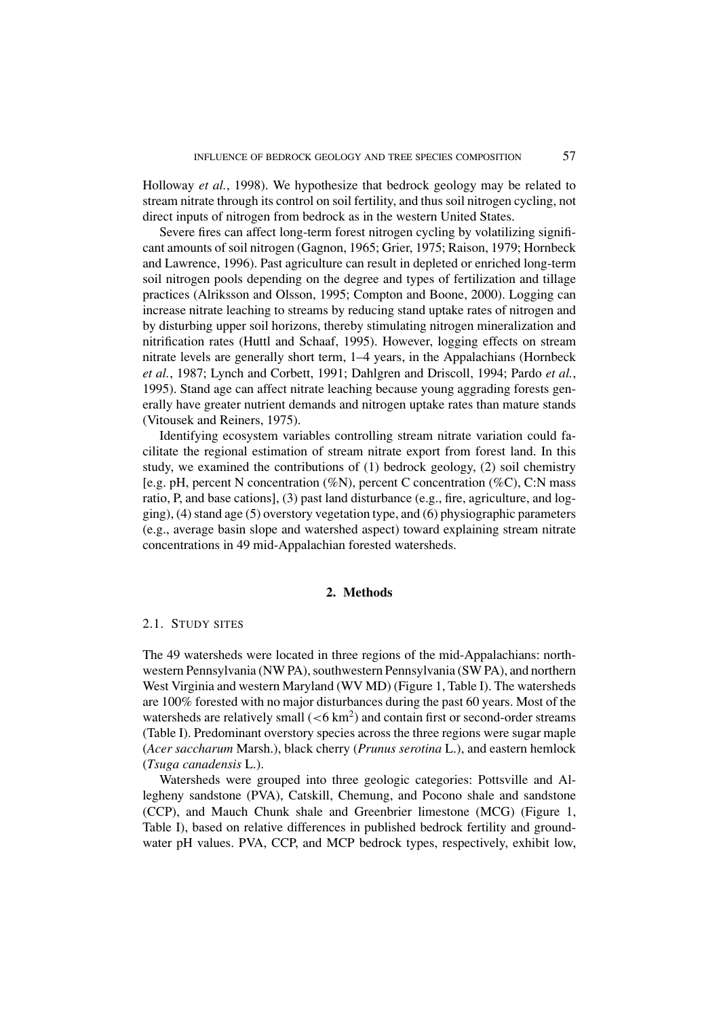Holloway *et al.*, 1998). We hypothesize that bedrock geology may be related to stream nitrate through its control on soil fertility, and thus soil nitrogen cycling, not direct inputs of nitrogen from bedrock as in the western United States.

Severe fires can affect long-term forest nitrogen cycling by volatilizing significant amounts of soil nitrogen (Gagnon, 1965; Grier, 1975; Raison, 1979; Hornbeck and Lawrence, 1996). Past agriculture can result in depleted or enriched long-term soil nitrogen pools depending on the degree and types of fertilization and tillage practices (Alriksson and Olsson, 1995; Compton and Boone, 2000). Logging can increase nitrate leaching to streams by reducing stand uptake rates of nitrogen and by disturbing upper soil horizons, thereby stimulating nitrogen mineralization and nitrification rates (Huttl and Schaaf, 1995). However, logging effects on stream nitrate levels are generally short term, 1–4 years, in the Appalachians (Hornbeck *et al.*, 1987; Lynch and Corbett, 1991; Dahlgren and Driscoll, 1994; Pardo *et al.*, 1995). Stand age can affect nitrate leaching because young aggrading forests generally have greater nutrient demands and nitrogen uptake rates than mature stands (Vitousek and Reiners, 1975).

Identifying ecosystem variables controlling stream nitrate variation could facilitate the regional estimation of stream nitrate export from forest land. In this study, we examined the contributions of (1) bedrock geology, (2) soil chemistry [e.g. pH, percent N concentration  $(\%N)$ , percent C concentration  $(\%C)$ , C:N mass ratio, P, and base cations], (3) past land disturbance (e.g., fire, agriculture, and logging), (4) stand age (5) overstory vegetation type, and (6) physiographic parameters (e.g., average basin slope and watershed aspect) toward explaining stream nitrate concentrations in 49 mid-Appalachian forested watersheds.

## **2. Methods**

#### 2.1. STUDY SITES

The 49 watersheds were located in three regions of the mid-Appalachians: northwestern Pennsylvania (NW PA), southwestern Pennsylvania (SW PA), and northern West Virginia and western Maryland (WV MD) (Figure 1, Table I). The watersheds are 100% forested with no major disturbances during the past 60 years. Most of the watersheds are relatively small  $(<6 \text{ km}^2$ ) and contain first or second-order streams (Table I). Predominant overstory species across the three regions were sugar maple (*Acer saccharum* Marsh.), black cherry (*Prunus serotina* L.), and eastern hemlock (*Tsuga canadensis* L.).

Watersheds were grouped into three geologic categories: Pottsville and Allegheny sandstone (PVA), Catskill, Chemung, and Pocono shale and sandstone (CCP), and Mauch Chunk shale and Greenbrier limestone (MCG) (Figure 1, Table I), based on relative differences in published bedrock fertility and groundwater pH values. PVA, CCP, and MCP bedrock types, respectively, exhibit low,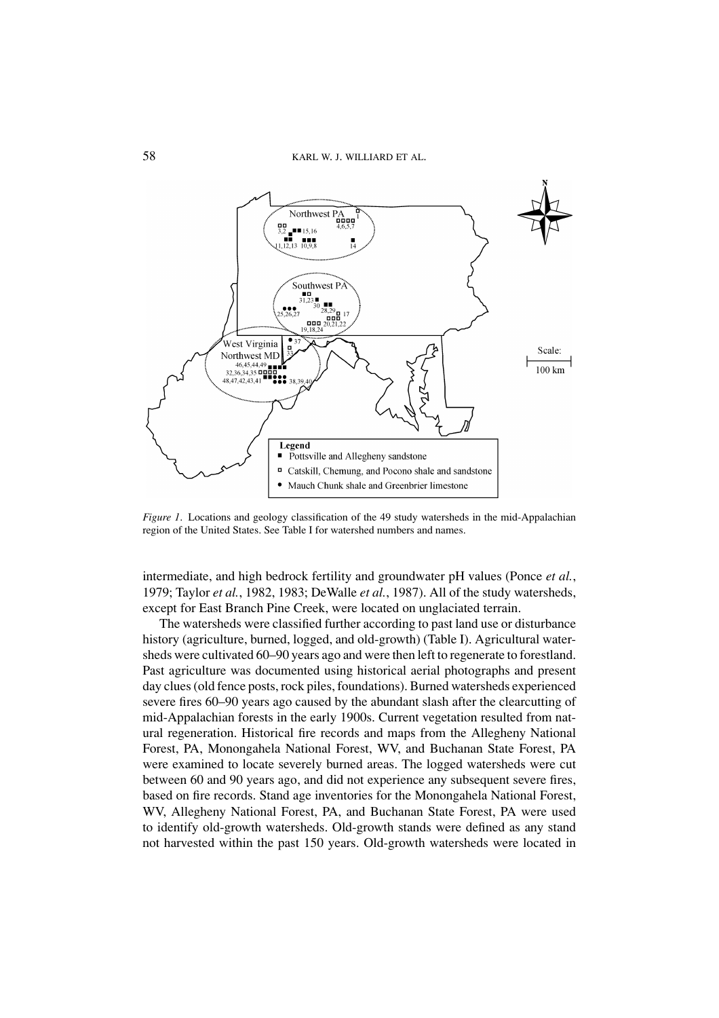

*Figure 1*. Locations and geology classification of the 49 study watersheds in the mid-Appalachian region of the United States. See Table I for watershed numbers and names.

intermediate, and high bedrock fertility and groundwater pH values (Ponce *et al.*, 1979; Taylor *et al.*, 1982, 1983; DeWalle *et al.*, 1987). All of the study watersheds, except for East Branch Pine Creek, were located on unglaciated terrain.

The watersheds were classified further according to past land use or disturbance history (agriculture, burned, logged, and old-growth) (Table I). Agricultural watersheds were cultivated 60–90 years ago and were then left to regenerate to forestland. Past agriculture was documented using historical aerial photographs and present day clues (old fence posts, rock piles, foundations). Burned watersheds experienced severe fires 60–90 years ago caused by the abundant slash after the clearcutting of mid-Appalachian forests in the early 1900s. Current vegetation resulted from natural regeneration. Historical fire records and maps from the Allegheny National Forest, PA, Monongahela National Forest, WV, and Buchanan State Forest, PA were examined to locate severely burned areas. The logged watersheds were cut between 60 and 90 years ago, and did not experience any subsequent severe fires, based on fire records. Stand age inventories for the Monongahela National Forest, WV, Allegheny National Forest, PA, and Buchanan State Forest, PA were used to identify old-growth watersheds. Old-growth stands were defined as any stand not harvested within the past 150 years. Old-growth watersheds were located in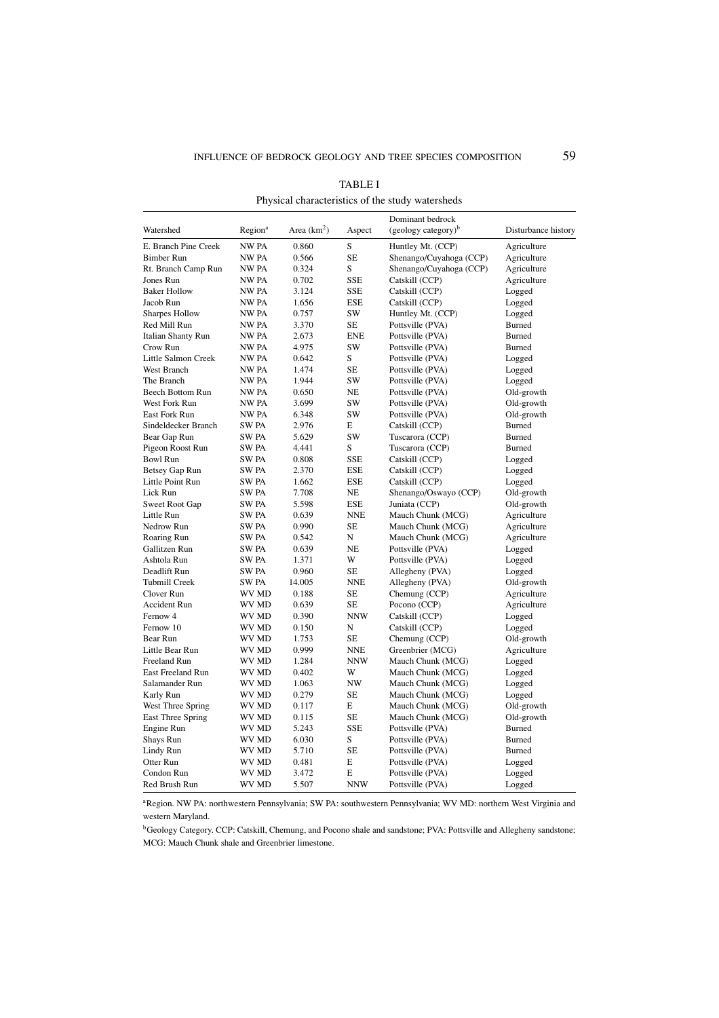|                       |                     |              |            | Dominant bedrock                |                     |  |
|-----------------------|---------------------|--------------|------------|---------------------------------|---------------------|--|
| Watershed             | Region <sup>a</sup> | Area $(km2)$ | Aspect     | (geology category) <sup>b</sup> | Disturbance history |  |
| E. Branch Pine Creek  | NW PA               | 0.860        | S          | Huntley Mt. (CCP)               | Agriculture         |  |
| Bimber Run            | NW PA               | 0.566        | <b>SE</b>  | Shenango/Cuyahoga (CCP)         | Agriculture         |  |
| Rt. Branch Camp Run   | NW PA               | 0.324        | S          | Shenango/Cuyahoga (CCP)         | Agriculture         |  |
| Jones Run             | NW PA               | 0.702        | <b>SSE</b> | Catskill (CCP)                  | Agriculture         |  |
| <b>Baker Hollow</b>   | NW PA               | 3.124        | <b>SSE</b> | Catskill (CCP)                  | Logged              |  |
| Jacob Run             | NW PA               | 1.656        | ESE        | Catskill (CCP)                  | Logged              |  |
| <b>Sharpes Hollow</b> | NW PA               | 0.757        | <b>SW</b>  | Huntley Mt. (CCP)               | Logged              |  |
| Red Mill Run          | NW PA               | 3.370        | SE         | Pottsville (PVA)                | <b>Burned</b>       |  |
| Italian Shanty Run    | NW PA               | 2.673        | ENE        | Pottsville (PVA)                | Burned              |  |
| Crow Run              | NW PA               | 4.975        | SW         | Pottsville (PVA)                | <b>Burned</b>       |  |
| Little Salmon Creek   | NW PA               | 0.642        | S          | Pottsville (PVA)                | Logged              |  |
| West Branch           | NW PA               | 1.474        | <b>SE</b>  | Pottsville (PVA)                | Logged              |  |
| The Branch            | NW PA               | 1.944        | <b>SW</b>  | Pottsville (PVA)                | Logged              |  |
| Beech Bottom Run      | NW PA               | 0.650        | NE         | Pottsville (PVA)                | Old-growth          |  |
| West Fork Run         | NW PA               | 3.699        | <b>SW</b>  | Pottsville (PVA)                | Old-growth          |  |
| East Fork Run         | NW PA               | 6.348        | <b>SW</b>  | Pottsville (PVA)                | Old-growth          |  |
| Sindeldecker Branch   | <b>SW PA</b>        | 2.976        | E          | Catskill (CCP)                  | Burned              |  |
| Bear Gap Run          | SW PA               | 5.629        | SW         | Tuscarora (CCP)                 | <b>Burned</b>       |  |
| Pigeon Roost Run      | SW PA               | 4.441        | S          | Tuscarora (CCP)                 | <b>Burned</b>       |  |
| <b>Bowl Run</b>       | SW PA               | 0.808        | <b>SSE</b> | Catskill (CCP)                  | Logged              |  |
| Betsey Gap Run        | SW PA               | 2.370        | ESE        | Catskill (CCP)                  | Logged              |  |
| Little Point Run      | SW PA               | 1.662        | ESE        | Catskill (CCP)                  | Logged              |  |
| Lick Run              | SW PA               | 7.708        | NE         | Shenango/Oswayo (CCP)           | Old-growth          |  |
| Sweet Root Gap        | SW PA               | 5.598        | ESE        | Juniata (CCP)                   | Old-growth          |  |
| Little Run            | SW PA               | 0.639        | <b>NNE</b> | Mauch Chunk (MCG)               | Agriculture         |  |
| Nedrow Run            | <b>SWPA</b>         | 0.990        | <b>SE</b>  | Mauch Chunk (MCG)               | Agriculture         |  |
| Roaring Run           | SW PA               | 0.542        | N          | Mauch Chunk (MCG)               | Agriculture         |  |
| Gallitzen Run         | SW PA               | 0.639        | <b>NE</b>  | Pottsville (PVA)                | Logged              |  |
| Ashtola Run           | SW PA               | 1.371        | W          | Pottsville (PVA)                | Logged              |  |
| Deadlift Run          | SW PA               | 0.960        | SE         | Allegheny (PVA)                 | Logged              |  |
| Tubmill Creek         | SW PA               | 14.005       | <b>NNE</b> | Allegheny (PVA)                 | Old-growth          |  |
| Clover Run            | WV MD               | 0.188        | <b>SE</b>  | Chemung (CCP)                   | Agriculture         |  |
| Accident Run          | WV MD               | 0.639        | <b>SE</b>  | Pocono (CCP)                    | Agriculture         |  |
| Fernow 4              | WV MD               | 0.390        | <b>NNW</b> | Catskill (CCP)                  | Logged              |  |
| Fernow 10             | WV MD               | 0.150        | N          | Catskill (CCP)                  | Logged              |  |
| Bear Run              | WV MD               | 1.753        | <b>SE</b>  | Chemung (CCP)                   | Old-growth          |  |
| Little Bear Run       | WV MD               | 0.999        | <b>NNE</b> | Greenbrier (MCG)                | Agriculture         |  |
| Freeland Run          | WV MD               | 1.284        | <b>NNW</b> | Mauch Chunk (MCG)               | Logged              |  |
| East Freeland Run     | WV MD               | 0.402        | W          | Mauch Chunk (MCG)               | Logged              |  |
| Salamander Run        | WV MD               | 1.063        | NW         | Mauch Chunk (MCG)               | Logged              |  |
| Karly Run             | WV MD               | 0.279        | <b>SE</b>  | Mauch Chunk (MCG)               | Logged              |  |
| West Three Spring     | WV MD               | 0.117        | E          | Mauch Chunk (MCG)               | Old-growth          |  |
| East Three Spring     | WV MD               | 0.115        | <b>SE</b>  | Mauch Chunk (MCG)               | Old-growth          |  |
| Engine Run            | WV MD               | 5.243        | <b>SSE</b> | Pottsville (PVA)                | <b>Burned</b>       |  |
| Shays Run             | WV MD               | 6.030        | S          | Pottsville (PVA)                | <b>Burned</b>       |  |
| Lindy Run             | WV MD               | 5.710        | <b>SE</b>  | Pottsville (PVA)                | <b>Burned</b>       |  |
| Otter Run             | WV MD               | 0.481        | Е          | Pottsville (PVA)                | Logged              |  |
| Condon Run            | WV MD               | 3.472        | E          | Pottsville (PVA)                | Logged              |  |
| Red Brush Run         | WV MD               | 5.507        | <b>NNW</b> | Pottsville (PVA)                | Logged              |  |

TABLE I Physical characteristics of the study watersheds

<sup>a</sup>Region. NW PA: northwestern Pennsylvania; SW PA: southwestern Pennsylvania; WV MD: northern West Virginia and western Maryland.

bGeology Category. CCP: Catskill, Chemung, and Pocono shale and sandstone; PVA: Pottsville and Allegheny sandstone; MCG: Mauch Chunk shale and Greenbrier limestone.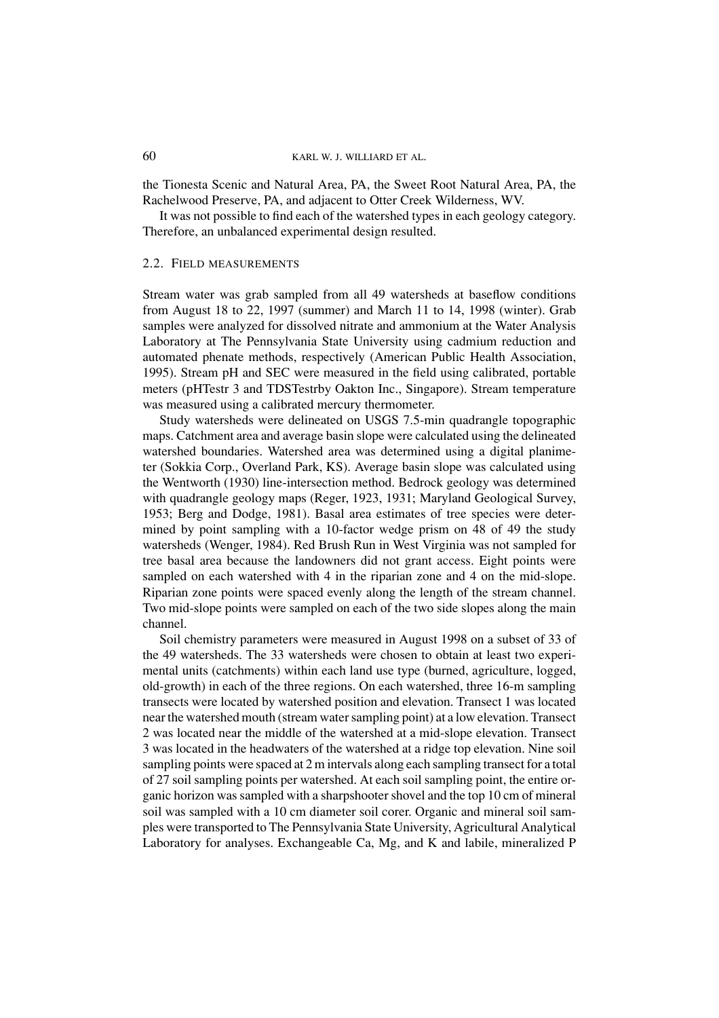#### 60 KARL W. J. WILLIARD ET AL.

the Tionesta Scenic and Natural Area, PA, the Sweet Root Natural Area, PA, the Rachelwood Preserve, PA, and adjacent to Otter Creek Wilderness, WV.

It was not possible to find each of the watershed types in each geology category. Therefore, an unbalanced experimental design resulted.

### 2.2. FIELD MEASUREMENTS

Stream water was grab sampled from all 49 watersheds at baseflow conditions from August 18 to 22, 1997 (summer) and March 11 to 14, 1998 (winter). Grab samples were analyzed for dissolved nitrate and ammonium at the Water Analysis Laboratory at The Pennsylvania State University using cadmium reduction and automated phenate methods, respectively (American Public Health Association, 1995). Stream pH and SEC were measured in the field using calibrated, portable meters (pHTestr 3 and TDSTestrby Oakton Inc., Singapore). Stream temperature was measured using a calibrated mercury thermometer.

Study watersheds were delineated on USGS 7.5-min quadrangle topographic maps. Catchment area and average basin slope were calculated using the delineated watershed boundaries. Watershed area was determined using a digital planimeter (Sokkia Corp., Overland Park, KS). Average basin slope was calculated using the Wentworth (1930) line-intersection method. Bedrock geology was determined with quadrangle geology maps (Reger, 1923, 1931; Maryland Geological Survey, 1953; Berg and Dodge, 1981). Basal area estimates of tree species were determined by point sampling with a 10-factor wedge prism on 48 of 49 the study watersheds (Wenger, 1984). Red Brush Run in West Virginia was not sampled for tree basal area because the landowners did not grant access. Eight points were sampled on each watershed with 4 in the riparian zone and 4 on the mid-slope. Riparian zone points were spaced evenly along the length of the stream channel. Two mid-slope points were sampled on each of the two side slopes along the main channel.

Soil chemistry parameters were measured in August 1998 on a subset of 33 of the 49 watersheds. The 33 watersheds were chosen to obtain at least two experimental units (catchments) within each land use type (burned, agriculture, logged, old-growth) in each of the three regions. On each watershed, three 16-m sampling transects were located by watershed position and elevation. Transect 1 was located near the watershed mouth (stream water sampling point) at a low elevation. Transect 2 was located near the middle of the watershed at a mid-slope elevation. Transect 3 was located in the headwaters of the watershed at a ridge top elevation. Nine soil sampling points were spaced at 2 m intervals along each sampling transect for a total of 27 soil sampling points per watershed. At each soil sampling point, the entire organic horizon was sampled with a sharpshooter shovel and the top 10 cm of mineral soil was sampled with a 10 cm diameter soil corer. Organic and mineral soil samples were transported to The Pennsylvania State University, Agricultural Analytical Laboratory for analyses. Exchangeable Ca, Mg, and K and labile, mineralized P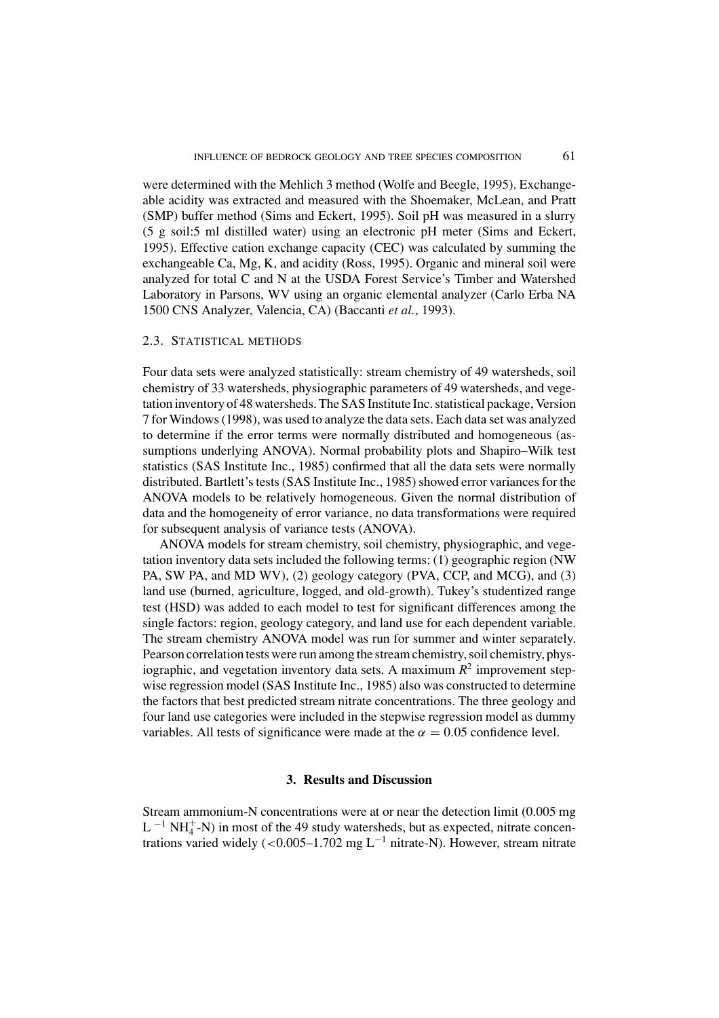were determined with the Mehlich 3 method (Wolfe and Beegle, 1995). Exchangeable acidity was extracted and measured with the Shoemaker, McLean, and Pratt (SMP) buffer method (Sims and Eckert, 1995). Soil pH was measured in a slurry (5 g soil:5 ml distilled water) using an electronic pH meter (Sims and Eckert, 1995). Effective cation exchange capacity (CEC) was calculated by summing the exchangeable Ca, Mg, K, and acidity (Ross, 1995). Organic and mineral soil were analyzed for total C and N at the USDA Forest Service's Timber and Watershed Laboratory in Parsons, WV using an organic elemental analyzer (Carlo Erba NA 1500 CNS Analyzer, Valencia, CA) (Baccanti *et al.*, 1993).

## 2.3. STATISTICAL METHODS

Four data sets were analyzed statistically: stream chemistry of 49 watersheds, soil chemistry of 33 watersheds, physiographic parameters of 49 watersheds, and vegetation inventory of 48 watersheds. The SAS Institute Inc. statistical package, Version 7 for Windows (1998), was used to analyze the data sets. Each data set was analyzed to determine if the error terms were normally distributed and homogeneous (assumptions underlying ANOVA). Normal probability plots and Shapiro–Wilk test statistics (SAS Institute Inc., 1985) confirmed that all the data sets were normally distributed. Bartlett's tests (SAS Institute Inc., 1985) showed error variances for the ANOVA models to be relatively homogeneous. Given the normal distribution of data and the homogeneity of error variance, no data transformations were required for subsequent analysis of variance tests (ANOVA).

ANOVA models for stream chemistry, soil chemistry, physiographic, and vegetation inventory data sets included the following terms: (1) geographic region (NW PA, SW PA, and MD WV), (2) geology category (PVA, CCP, and MCG), and (3) land use (burned, agriculture, logged, and old-growth). Tukey's studentized range test (HSD) was added to each model to test for significant differences among the single factors: region, geology category, and land use for each dependent variable. The stream chemistry ANOVA model was run for summer and winter separately. Pearson correlation tests were run among the stream chemistry, soil chemistry, physiographic, and vegetation inventory data sets. A maximum  $R^2$  improvement stepwise regression model (SAS Institute Inc., 1985) also was constructed to determine the factors that best predicted stream nitrate concentrations. The three geology and four land use categories were included in the stepwise regression model as dummy variables. All tests of significance were made at the  $\alpha = 0.05$  confidence level.

## **3. Results and Discussion**

Stream ammonium-N concentrations were at or near the detection limit (0.005 mg  $L^{-1} NH_4^+$ -N) in most of the 49 study watersheds, but as expected, nitrate concentrations varied widely (<0.005–1.702 mg L<sup>-1</sup> nitrate-N). However, stream nitrate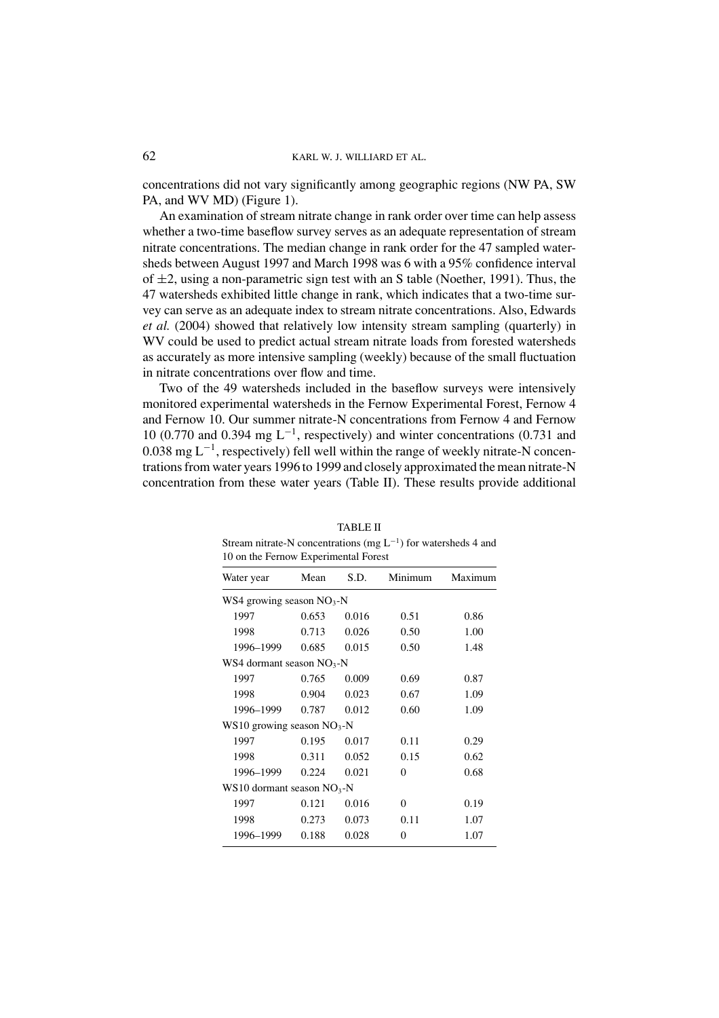concentrations did not vary significantly among geographic regions (NW PA, SW PA, and WV MD) (Figure 1).

An examination of stream nitrate change in rank order over time can help assess whether a two-time baseflow survey serves as an adequate representation of stream nitrate concentrations. The median change in rank order for the 47 sampled watersheds between August 1997 and March 1998 was 6 with a 95% confidence interval of  $\pm 2$ , using a non-parametric sign test with an S table (Noether, 1991). Thus, the 47 watersheds exhibited little change in rank, which indicates that a two-time survey can serve as an adequate index to stream nitrate concentrations. Also, Edwards *et al.* (2004) showed that relatively low intensity stream sampling (quarterly) in WV could be used to predict actual stream nitrate loads from forested watersheds as accurately as more intensive sampling (weekly) because of the small fluctuation in nitrate concentrations over flow and time.

Two of the 49 watersheds included in the baseflow surveys were intensively monitored experimental watersheds in the Fernow Experimental Forest, Fernow 4 and Fernow 10. Our summer nitrate-N concentrations from Fernow 4 and Fernow 10 (0.770 and 0.394 mg L−1, respectively) and winter concentrations (0.731 and 0.038 mg L−1, respectively) fell well within the range of weekly nitrate-N concentrations from water years 1996 to 1999 and closely approximated the mean nitrate-N concentration from these water years (Table II). These results provide additional

| 10 on the Fernow Experimental Forest |       |       |         |         |  |  |
|--------------------------------------|-------|-------|---------|---------|--|--|
| Water year                           | Mean  | S.D.  | Minimum | Maximum |  |  |
| WS4 growing season $NO3$ -N          |       |       |         |         |  |  |
| 1997                                 | 0.653 | 0.016 | 0.51    | 0.86    |  |  |
| 1998                                 | 0.713 | 0.026 | 0.50    | 1.00    |  |  |
| 1996–1999                            | 0.685 | 0.015 | 0.50    | 1.48    |  |  |
| $WS4$ dormant season $NO3-N$         |       |       |         |         |  |  |
| 1997                                 | 0.765 | 0.009 | 0.69    | 0.87    |  |  |
| 1998                                 | 0.904 | 0.023 | 0.67    | 1.09    |  |  |
| 1996–1999                            | 0.787 | 0.012 | 0.60    | 1.09    |  |  |
| $WS10$ growing season $NO3-N$        |       |       |         |         |  |  |
| 1997                                 | 0.195 | 0.017 | 0.11    | 0.29    |  |  |
| 1998                                 | 0.311 | 0.052 | 0.15    | 0.62    |  |  |
| 1996-1999                            | 0.224 | 0.021 | 0       | 0.68    |  |  |
| $WS10$ dormant season $NO3-N$        |       |       |         |         |  |  |
| 1997                                 | 0.121 | 0.016 | 0       | 0.19    |  |  |
| 1998                                 | 0.273 | 0.073 | 0.11    | 1.07    |  |  |
| 1996–1999                            | 0.188 | 0.028 | 0       | 1.07    |  |  |

TABLE II Stream nitrate-N concentrations (mg  $L^{-1}$ ) for watersheds 4 and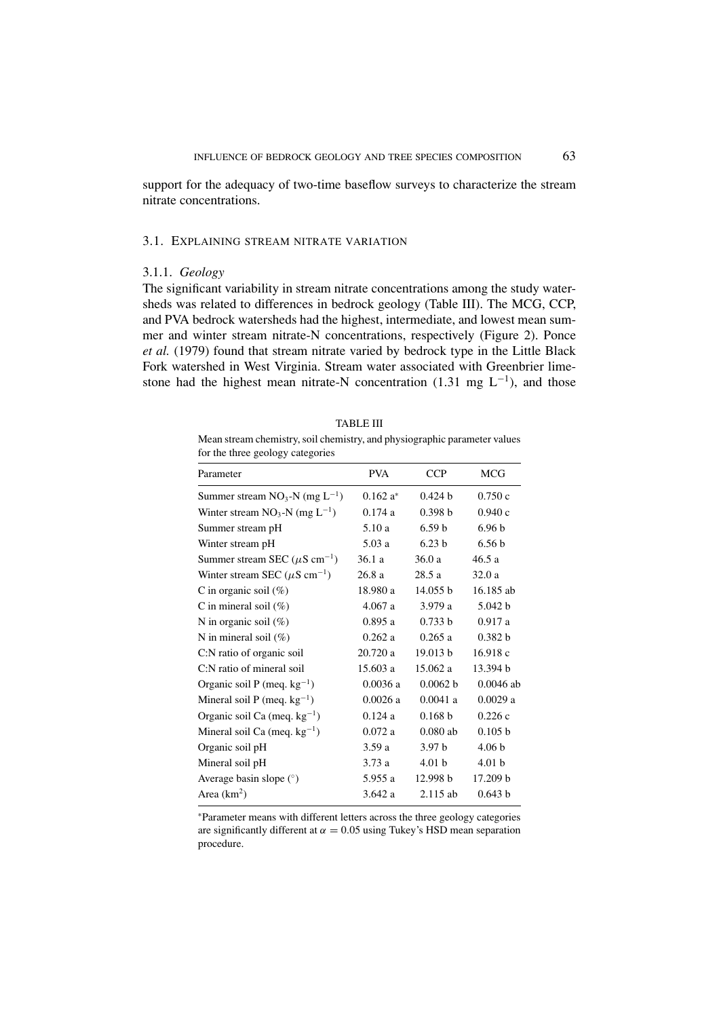support for the adequacy of two-time baseflow surveys to characterize the stream nitrate concentrations.

#### 3.1. EXPLAINING STREAM NITRATE VARIATION

#### 3.1.1. *Geology*

The significant variability in stream nitrate concentrations among the study watersheds was related to differences in bedrock geology (Table III). The MCG, CCP, and PVA bedrock watersheds had the highest, intermediate, and lowest mean summer and winter stream nitrate-N concentrations, respectively (Figure 2). Ponce *et al.* (1979) found that stream nitrate varied by bedrock type in the Little Black Fork watershed in West Virginia. Stream water associated with Greenbrier limestone had the highest mean nitrate-N concentration (1.31 mg  $L^{-1}$ ), and those

Mean stream chemistry, soil chemistry, and physiographic parameter values for the three geology categories

| Parameter                                      | <b>PVA</b>  | <b>CCP</b>         | <b>MCG</b>        |
|------------------------------------------------|-------------|--------------------|-------------------|
| Summer stream $NO_3-N$ (mg $L^{-1}$ )          | $0.162 a^*$ | 0.424 <sub>b</sub> | 0.750c            |
| Winter stream $NO_3$ -N (mg $L^{-1}$ )         | 0.174a      | 0.398 b            | 0.940c            |
| Summer stream pH                               | 5.10 a      | 6.59 <sub>b</sub>  | 6.96 <sub>b</sub> |
| Winter stream pH                               | 5.03a       | 6.23 <sub>b</sub>  | 6.56 <sub>b</sub> |
| Summer stream SEC ( $\mu$ S cm <sup>-1</sup> ) | 36.1a       | 36.0a              | 46.5a             |
| Winter stream SEC ( $\mu$ S cm <sup>-1</sup> ) | 26.8 a      | 28.5 a             | 32.0a             |
| C in organic soil $(\%)$                       | 18.980 a    | 14.055 b           | 16.185 ab         |
| C in mineral soil $(\%)$                       | 4.067a      | 3.979a             | 5.042 b           |
| N in organic soil $(\%)$                       | 0.895a      | 0.733 b            | 0.917a            |
| N in mineral soil $(\%)$                       | 0.262a      | 0.265a             | 0.382 h           |
| C:N ratio of organic soil                      | 20.720a     | 19.013 b           | 16.918 c          |
| C:N ratio of mineral soil                      | 15.603 a    | 15.062 a           | 13.394 b          |
| Organic soil P (meq. $kg^{-1}$ )               | 0.0036a     | 0.0062 b           | $0.0046$ ab       |
| Mineral soil P (meq. $kg^{-1}$ )               | 0.0026a     | $0.0041$ a         | 0.0029a           |
| Organic soil Ca (meq. $kg^{-1}$ )              | 0.124a      | 0.168 b            | 0.226c            |
| Mineral soil Ca (meq. $kg^{-1}$ )              | 0.072a      | $0.080$ ab         | 0.105 b           |
| Organic soil pH                                | 3.59a       | 3.97 <sub>b</sub>  | 4.06 <sub>b</sub> |
| Mineral soil pH                                | 3.73a       | 4.01 <sub>b</sub>  | 4.01 <sub>b</sub> |
| Average basin slope (°)                        | 5.955 a     | 12.998 b           | 17.209 b          |
| Area $(km^2)$                                  | 3.642a      | $2.115$ ab         | 0.643h            |

<sup>∗</sup>Parameter means with different letters across the three geology categories are significantly different at  $\alpha = 0.05$  using Tukey's HSD mean separation procedure.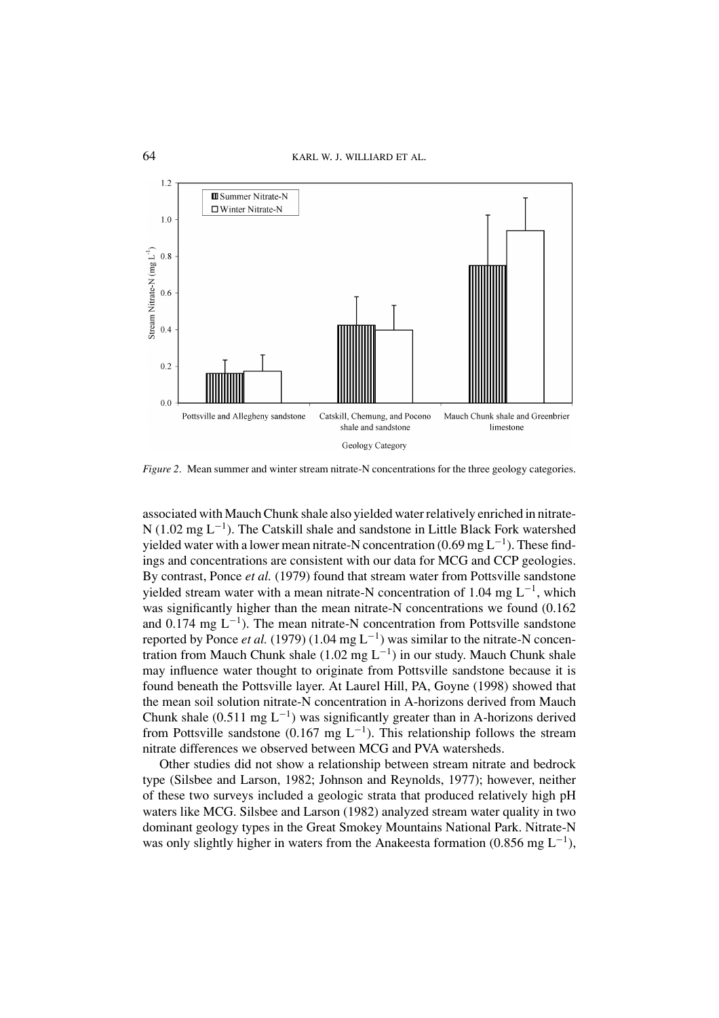

*Figure 2*. Mean summer and winter stream nitrate-N concentrations for the three geology categories.

associated with Mauch Chunk shale also yielded water relatively enriched in nitrate-N (1.02 mg  $L^{-1}$ ). The Catskill shale and sandstone in Little Black Fork watershed yielded water with a lower mean nitrate-N concentration (0.69 mg  $L^{-1}$ ). These findings and concentrations are consistent with our data for MCG and CCP geologies. By contrast, Ponce *et al.* (1979) found that stream water from Pottsville sandstone yielded stream water with a mean nitrate-N concentration of 1.04 mg  $L^{-1}$ , which was significantly higher than the mean nitrate-N concentrations we found (0.162 and 0.174 mg  $L^{-1}$ ). The mean nitrate-N concentration from Pottsville sandstone reported by Ponce *et al.* (1979) (1.04 mg  $L^{-1}$ ) was similar to the nitrate-N concentration from Mauch Chunk shale (1.02 mg  $L^{-1}$ ) in our study. Mauch Chunk shale may influence water thought to originate from Pottsville sandstone because it is found beneath the Pottsville layer. At Laurel Hill, PA, Goyne (1998) showed that the mean soil solution nitrate-N concentration in A-horizons derived from Mauch Chunk shale (0.511 mg  $L^{-1}$ ) was significantly greater than in A-horizons derived from Pottsville sandstone (0.167 mg L<sup>-1</sup>). This relationship follows the stream nitrate differences we observed between MCG and PVA watersheds.

Other studies did not show a relationship between stream nitrate and bedrock type (Silsbee and Larson, 1982; Johnson and Reynolds, 1977); however, neither of these two surveys included a geologic strata that produced relatively high pH waters like MCG. Silsbee and Larson (1982) analyzed stream water quality in two dominant geology types in the Great Smokey Mountains National Park. Nitrate-N was only slightly higher in waters from the Anakeesta formation (0.856 mg  $L^{-1}$ ),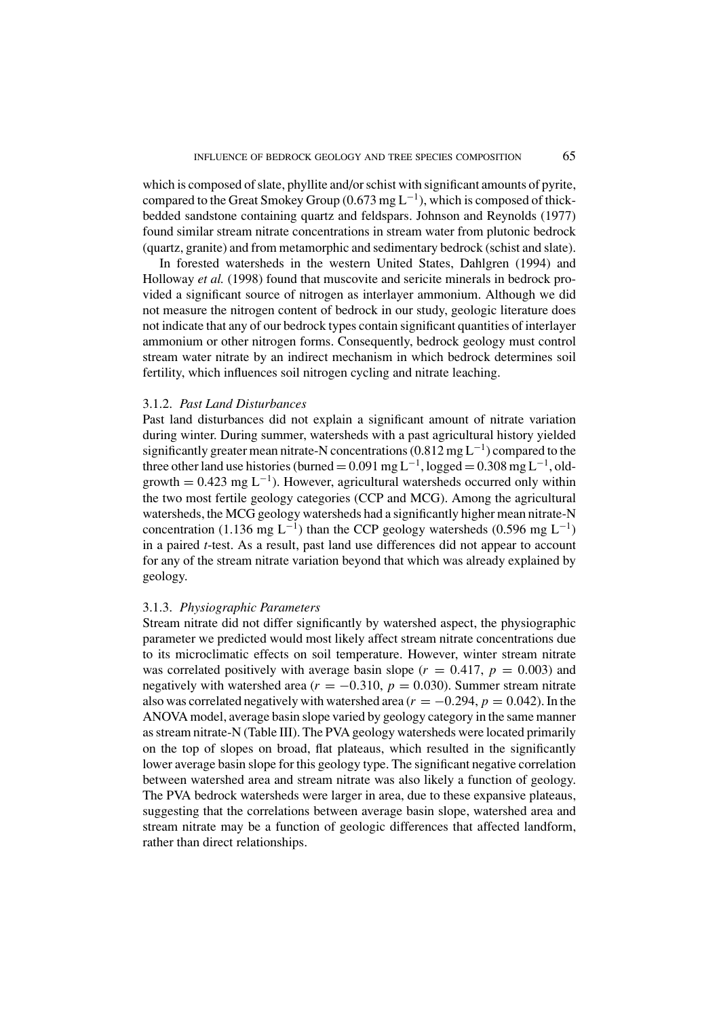which is composed of slate, phyllite and/or schist with significant amounts of pyrite, compared to the Great Smokey Group (0.673 mg  $L^{-1}$ ), which is composed of thickbedded sandstone containing quartz and feldspars. Johnson and Reynolds (1977) found similar stream nitrate concentrations in stream water from plutonic bedrock (quartz, granite) and from metamorphic and sedimentary bedrock (schist and slate).

In forested watersheds in the western United States, Dahlgren (1994) and Holloway *et al.* (1998) found that muscovite and sericite minerals in bedrock provided a significant source of nitrogen as interlayer ammonium. Although we did not measure the nitrogen content of bedrock in our study, geologic literature does not indicate that any of our bedrock types contain significant quantities of interlayer ammonium or other nitrogen forms. Consequently, bedrock geology must control stream water nitrate by an indirect mechanism in which bedrock determines soil fertility, which influences soil nitrogen cycling and nitrate leaching.

### 3.1.2. *Past Land Disturbances*

Past land disturbances did not explain a significant amount of nitrate variation during winter. During summer, watersheds with a past agricultural history yielded significantly greater mean nitrate-N concentrations  $(0.812 \text{ mg L}^{-1})$  compared to the three other land use histories (burned =  $0.091$  mg L<sup>-1</sup>, logged =  $0.308$  mg L<sup>-1</sup>, oldgrowth =  $0.423 \text{ mg L}^{-1}$ ). However, agricultural watersheds occurred only within the two most fertile geology categories (CCP and MCG). Among the agricultural watersheds, the MCG geology watersheds had a significantly higher mean nitrate-N concentration (1.136 mg L<sup>-1</sup>) than the CCP geology watersheds (0.596 mg L<sup>-1</sup>) in a paired *t*-test. As a result, past land use differences did not appear to account for any of the stream nitrate variation beyond that which was already explained by geology.

### 3.1.3. *Physiographic Parameters*

Stream nitrate did not differ significantly by watershed aspect, the physiographic parameter we predicted would most likely affect stream nitrate concentrations due to its microclimatic effects on soil temperature. However, winter stream nitrate was correlated positively with average basin slope  $(r = 0.417, p = 0.003)$  and negatively with watershed area ( $r = -0.310$ ,  $p = 0.030$ ). Summer stream nitrate also was correlated negatively with watershed area  $(r = -0.294, p = 0.042)$ . In the ANOVA model, average basin slope varied by geology category in the same manner as stream nitrate-N (Table III). The PVA geology watersheds were located primarily on the top of slopes on broad, flat plateaus, which resulted in the significantly lower average basin slope for this geology type. The significant negative correlation between watershed area and stream nitrate was also likely a function of geology. The PVA bedrock watersheds were larger in area, due to these expansive plateaus, suggesting that the correlations between average basin slope, watershed area and stream nitrate may be a function of geologic differences that affected landform, rather than direct relationships.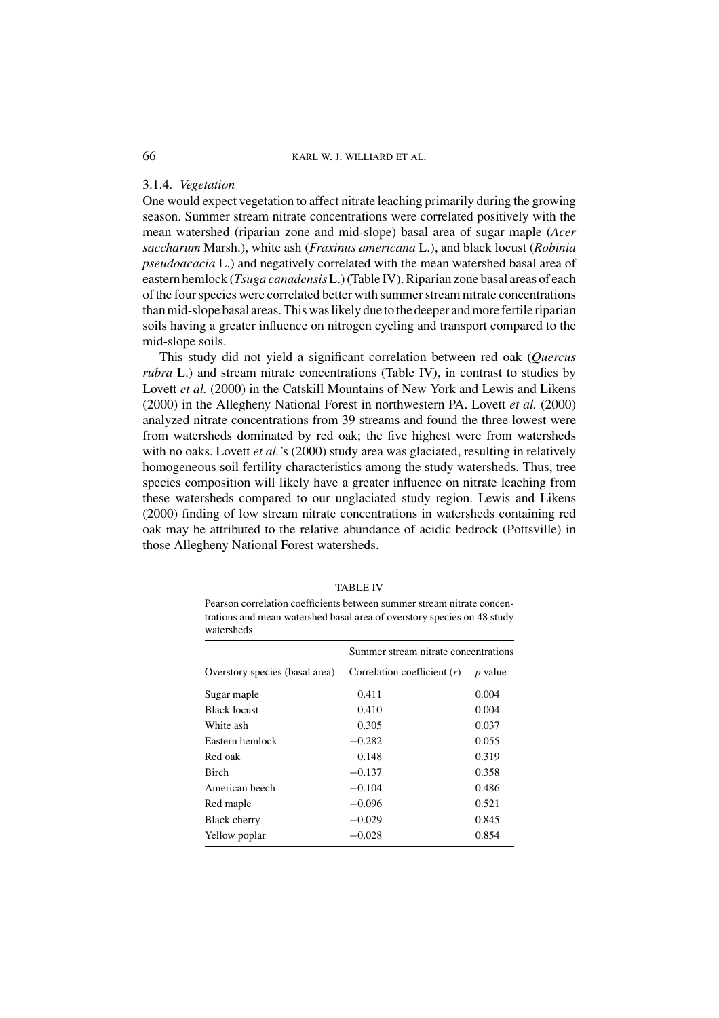## 3.1.4. *Vegetation*

One would expect vegetation to affect nitrate leaching primarily during the growing season. Summer stream nitrate concentrations were correlated positively with the mean watershed (riparian zone and mid-slope) basal area of sugar maple (*Acer saccharum* Marsh.), white ash (*Fraxinus americana* L.), and black locust (*Robinia pseudoacacia* L.) and negatively correlated with the mean watershed basal area of eastern hemlock (*Tsuga canadensis*L.) (Table IV). Riparian zone basal areas of each of the four species were correlated better with summer stream nitrate concentrations than mid-slope basal areas. This was likely due to the deeper and more fertile riparian soils having a greater influence on nitrogen cycling and transport compared to the mid-slope soils.

This study did not yield a significant correlation between red oak (*Quercus rubra* L.) and stream nitrate concentrations (Table IV), in contrast to studies by Lovett *et al.* (2000) in the Catskill Mountains of New York and Lewis and Likens (2000) in the Allegheny National Forest in northwestern PA. Lovett *et al.* (2000) analyzed nitrate concentrations from 39 streams and found the three lowest were from watersheds dominated by red oak; the five highest were from watersheds with no oaks. Lovett *et al.*'s (2000) study area was glaciated, resulting in relatively homogeneous soil fertility characteristics among the study watersheds. Thus, tree species composition will likely have a greater influence on nitrate leaching from these watersheds compared to our unglaciated study region. Lewis and Likens (2000) finding of low stream nitrate concentrations in watersheds containing red oak may be attributed to the relative abundance of acidic bedrock (Pottsville) in those Allegheny National Forest watersheds.

|                                | Summer stream nitrate concentrations |           |  |
|--------------------------------|--------------------------------------|-----------|--|
| Overstory species (basal area) | Correlation coefficient $(r)$        | $p$ value |  |
| Sugar maple                    | 0.411                                | 0.004     |  |
| <b>Black locust</b>            | 0.410                                | 0.004     |  |
| White ash                      | 0.305                                | 0.037     |  |
| Eastern hemlock                | $-0.282$                             | 0.055     |  |
| Red oak                        | 0.148                                | 0.319     |  |
| <b>Birch</b>                   | $-0.137$                             | 0.358     |  |
| American beech                 | $-0.104$                             | 0.486     |  |
| Red maple                      | $-0.096$                             | 0.521     |  |
| Black cherry                   | $-0.029$                             | 0.845     |  |
| Yellow poplar                  | $-0.028$                             | 0.854     |  |

TABLE IV

Pearson correlation coefficients between summer stream nitrate concentrations and mean watershed basal area of overstory species on 48 study watersheds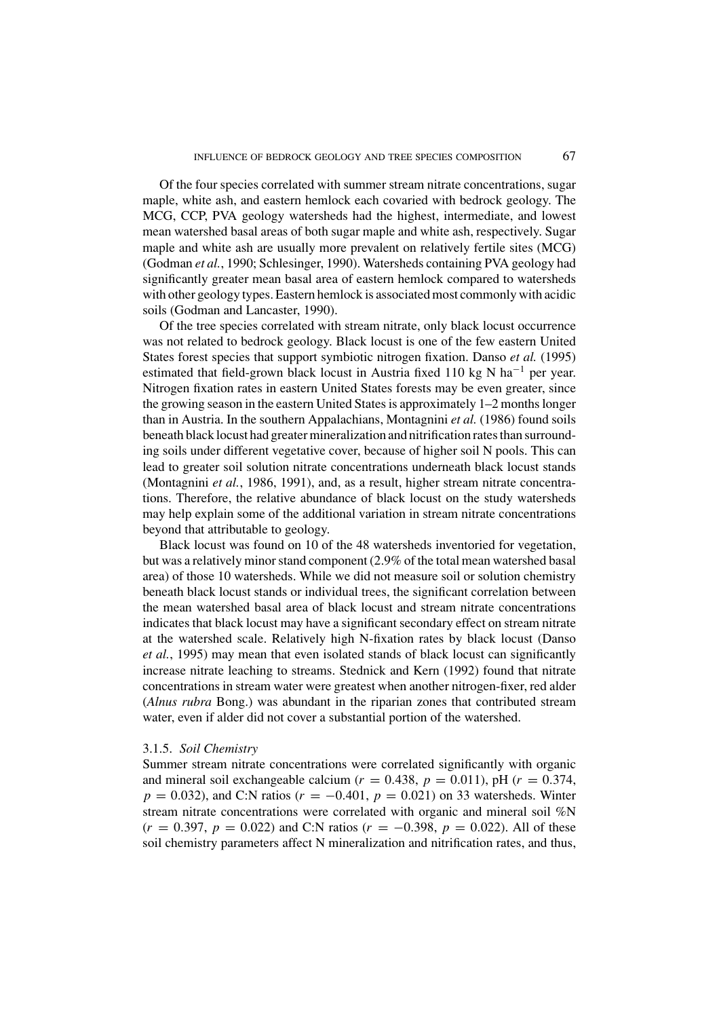Of the four species correlated with summer stream nitrate concentrations, sugar maple, white ash, and eastern hemlock each covaried with bedrock geology. The MCG, CCP, PVA geology watersheds had the highest, intermediate, and lowest mean watershed basal areas of both sugar maple and white ash, respectively. Sugar maple and white ash are usually more prevalent on relatively fertile sites (MCG) (Godman *et al.*, 1990; Schlesinger, 1990). Watersheds containing PVA geology had significantly greater mean basal area of eastern hemlock compared to watersheds with other geology types. Eastern hemlock is associated most commonly with acidic soils (Godman and Lancaster, 1990).

Of the tree species correlated with stream nitrate, only black locust occurrence was not related to bedrock geology. Black locust is one of the few eastern United States forest species that support symbiotic nitrogen fixation. Danso *et al.* (1995) estimated that field-grown black locust in Austria fixed 110 kg N ha−<sup>1</sup> per year. Nitrogen fixation rates in eastern United States forests may be even greater, since the growing season in the eastern United States is approximately 1–2 months longer than in Austria. In the southern Appalachians, Montagnini *et al.* (1986) found soils beneath black locust had greater mineralization and nitrification rates than surrounding soils under different vegetative cover, because of higher soil N pools. This can lead to greater soil solution nitrate concentrations underneath black locust stands (Montagnini *et al.*, 1986, 1991), and, as a result, higher stream nitrate concentrations. Therefore, the relative abundance of black locust on the study watersheds may help explain some of the additional variation in stream nitrate concentrations beyond that attributable to geology.

Black locust was found on 10 of the 48 watersheds inventoried for vegetation, but was a relatively minor stand component (2.9% of the total mean watershed basal area) of those 10 watersheds. While we did not measure soil or solution chemistry beneath black locust stands or individual trees, the significant correlation between the mean watershed basal area of black locust and stream nitrate concentrations indicates that black locust may have a significant secondary effect on stream nitrate at the watershed scale. Relatively high N-fixation rates by black locust (Danso *et al.*, 1995) may mean that even isolated stands of black locust can significantly increase nitrate leaching to streams. Stednick and Kern (1992) found that nitrate concentrations in stream water were greatest when another nitrogen-fixer, red alder (*Alnus rubra* Bong.) was abundant in the riparian zones that contributed stream water, even if alder did not cover a substantial portion of the watershed.

#### 3.1.5. *Soil Chemistry*

Summer stream nitrate concentrations were correlated significantly with organic and mineral soil exchangeable calcium  $(r = 0.438, p = 0.011)$ , pH  $(r = 0.374,$  $p = 0.032$ ), and C:N ratios ( $r = -0.401$ ,  $p = 0.021$ ) on 33 watersheds. Winter stream nitrate concentrations were correlated with organic and mineral soil %N  $(r = 0.397, p = 0.022)$  and C:N ratios  $(r = -0.398, p = 0.022)$ . All of these soil chemistry parameters affect N mineralization and nitrification rates, and thus,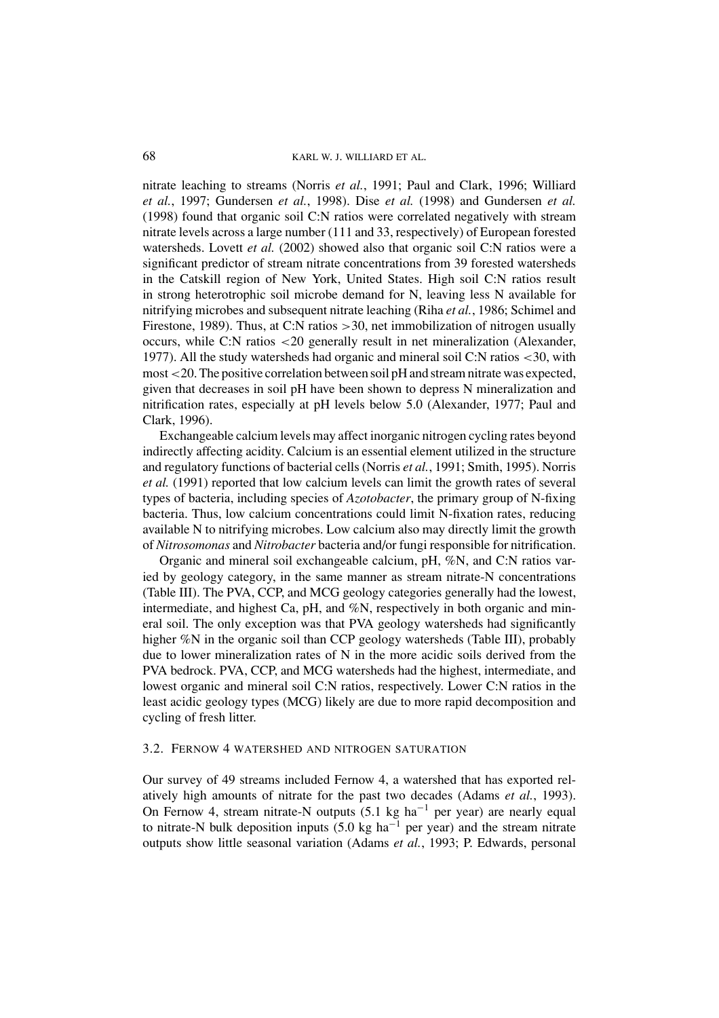nitrate leaching to streams (Norris *et al.*, 1991; Paul and Clark, 1996; Williard *et al.*, 1997; Gundersen *et al.*, 1998). Dise *et al.* (1998) and Gundersen *et al.* (1998) found that organic soil C:N ratios were correlated negatively with stream nitrate levels across a large number (111 and 33, respectively) of European forested watersheds. Lovett *et al.* (2002) showed also that organic soil C:N ratios were a significant predictor of stream nitrate concentrations from 39 forested watersheds in the Catskill region of New York, United States. High soil C:N ratios result in strong heterotrophic soil microbe demand for N, leaving less N available for nitrifying microbes and subsequent nitrate leaching (Riha *et al.*, 1986; Schimel and Firestone, 1989). Thus, at C:N ratios > 30, net immobilization of nitrogen usually occurs, while C:N ratios <20 generally result in net mineralization (Alexander, 1977). All the study watersheds had organic and mineral soil C:N ratios <30, with most  $\lt 20$ . The positive correlation between soil pH and stream nitrate was expected, given that decreases in soil pH have been shown to depress N mineralization and nitrification rates, especially at pH levels below 5.0 (Alexander, 1977; Paul and Clark, 1996).

Exchangeable calcium levels may affect inorganic nitrogen cycling rates beyond indirectly affecting acidity. Calcium is an essential element utilized in the structure and regulatory functions of bacterial cells (Norris *et al.*, 1991; Smith, 1995). Norris *et al.* (1991) reported that low calcium levels can limit the growth rates of several types of bacteria, including species of *Azotobacter*, the primary group of N-fixing bacteria. Thus, low calcium concentrations could limit N-fixation rates, reducing available N to nitrifying microbes. Low calcium also may directly limit the growth of *Nitrosomonas* and *Nitrobacter* bacteria and/or fungi responsible for nitrification.

Organic and mineral soil exchangeable calcium, pH, %N, and C:N ratios varied by geology category, in the same manner as stream nitrate-N concentrations (Table III). The PVA, CCP, and MCG geology categories generally had the lowest, intermediate, and highest Ca, pH, and %N, respectively in both organic and mineral soil. The only exception was that PVA geology watersheds had significantly higher %N in the organic soil than CCP geology watersheds (Table III), probably due to lower mineralization rates of N in the more acidic soils derived from the PVA bedrock. PVA, CCP, and MCG watersheds had the highest, intermediate, and lowest organic and mineral soil C:N ratios, respectively. Lower C:N ratios in the least acidic geology types (MCG) likely are due to more rapid decomposition and cycling of fresh litter.

#### 3.2. FERNOW 4 WATERSHED AND NITROGEN SATURATION

Our survey of 49 streams included Fernow 4, a watershed that has exported relatively high amounts of nitrate for the past two decades (Adams *et al.*, 1993). On Fernow 4, stream nitrate-N outputs  $(5.1 \text{ kg ha}^{-1})$  per year) are nearly equal to nitrate-N bulk deposition inputs  $(5.0 \text{ kg ha}^{-1})$  per year) and the stream nitrate outputs show little seasonal variation (Adams *et al.*, 1993; P. Edwards, personal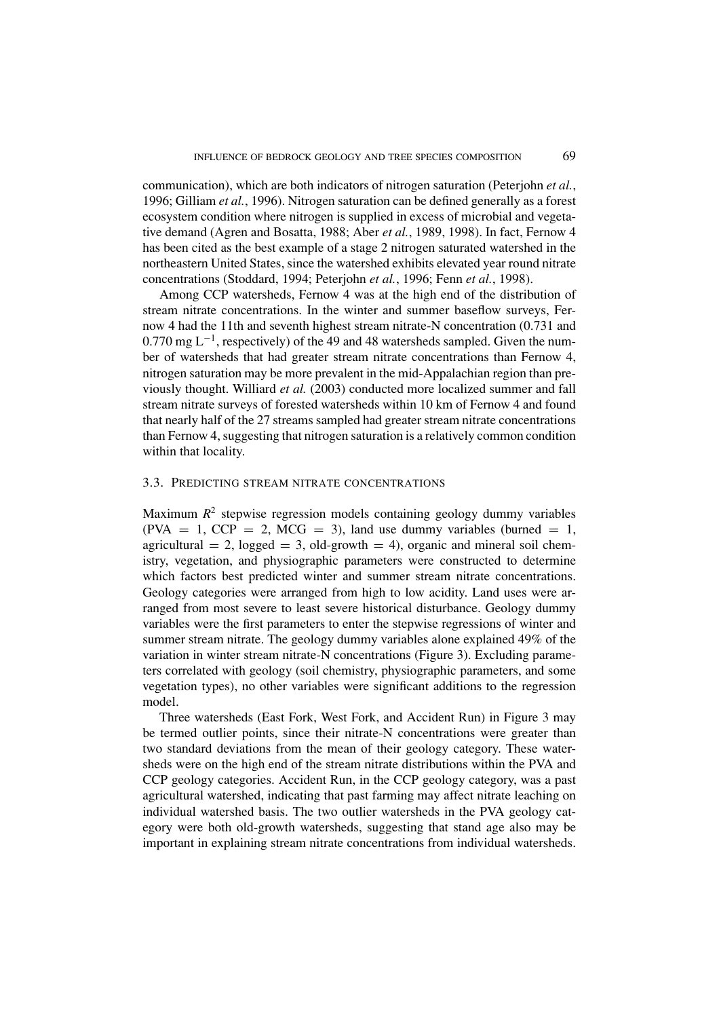communication), which are both indicators of nitrogen saturation (Peterjohn *et al.*, 1996; Gilliam *et al.*, 1996). Nitrogen saturation can be defined generally as a forest ecosystem condition where nitrogen is supplied in excess of microbial and vegetative demand (Agren and Bosatta, 1988; Aber *et al.*, 1989, 1998). In fact, Fernow 4 has been cited as the best example of a stage 2 nitrogen saturated watershed in the northeastern United States, since the watershed exhibits elevated year round nitrate concentrations (Stoddard, 1994; Peterjohn *et al.*, 1996; Fenn *et al.*, 1998).

Among CCP watersheds, Fernow 4 was at the high end of the distribution of stream nitrate concentrations. In the winter and summer baseflow surveys, Fernow 4 had the 11th and seventh highest stream nitrate-N concentration (0.731 and  $0.770$  mg L<sup>-1</sup>, respectively) of the 49 and 48 watersheds sampled. Given the number of watersheds that had greater stream nitrate concentrations than Fernow 4, nitrogen saturation may be more prevalent in the mid-Appalachian region than previously thought. Williard *et al.* (2003) conducted more localized summer and fall stream nitrate surveys of forested watersheds within 10 km of Fernow 4 and found that nearly half of the 27 streams sampled had greater stream nitrate concentrations than Fernow 4, suggesting that nitrogen saturation is a relatively common condition within that locality.

## 3.3. PREDICTING STREAM NITRATE CONCENTRATIONS

Maximum  $R^2$  stepwise regression models containing geology dummy variables  $(PVA = 1, CCP = 2, MCG = 3)$ , land use dummy variables (burned = 1, agricultural  $= 2$ , logged  $= 3$ , old-growth  $= 4$ ), organic and mineral soil chemistry, vegetation, and physiographic parameters were constructed to determine which factors best predicted winter and summer stream nitrate concentrations. Geology categories were arranged from high to low acidity. Land uses were arranged from most severe to least severe historical disturbance. Geology dummy variables were the first parameters to enter the stepwise regressions of winter and summer stream nitrate. The geology dummy variables alone explained 49% of the variation in winter stream nitrate-N concentrations (Figure 3). Excluding parameters correlated with geology (soil chemistry, physiographic parameters, and some vegetation types), no other variables were significant additions to the regression model.

Three watersheds (East Fork, West Fork, and Accident Run) in Figure 3 may be termed outlier points, since their nitrate-N concentrations were greater than two standard deviations from the mean of their geology category. These watersheds were on the high end of the stream nitrate distributions within the PVA and CCP geology categories. Accident Run, in the CCP geology category, was a past agricultural watershed, indicating that past farming may affect nitrate leaching on individual watershed basis. The two outlier watersheds in the PVA geology category were both old-growth watersheds, suggesting that stand age also may be important in explaining stream nitrate concentrations from individual watersheds.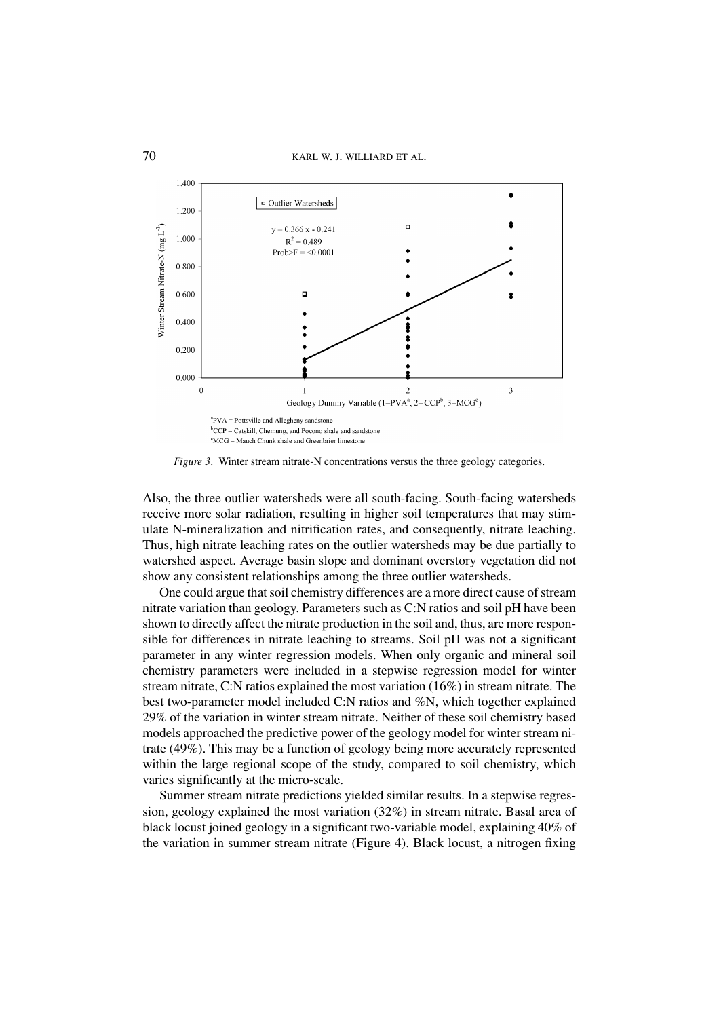

*Figure 3.* Winter stream nitrate-N concentrations versus the three geology categories.

Also, the three outlier watersheds were all south-facing. South-facing watersheds receive more solar radiation, resulting in higher soil temperatures that may stimulate N-mineralization and nitrification rates, and consequently, nitrate leaching. Thus, high nitrate leaching rates on the outlier watersheds may be due partially to watershed aspect. Average basin slope and dominant overstory vegetation did not show any consistent relationships among the three outlier watersheds.

One could argue that soil chemistry differences are a more direct cause of stream nitrate variation than geology. Parameters such as C:N ratios and soil pH have been shown to directly affect the nitrate production in the soil and, thus, are more responsible for differences in nitrate leaching to streams. Soil pH was not a significant parameter in any winter regression models. When only organic and mineral soil chemistry parameters were included in a stepwise regression model for winter stream nitrate, C:N ratios explained the most variation (16%) in stream nitrate. The best two-parameter model included C:N ratios and %N, which together explained 29% of the variation in winter stream nitrate. Neither of these soil chemistry based models approached the predictive power of the geology model for winter stream nitrate (49%). This may be a function of geology being more accurately represented within the large regional scope of the study, compared to soil chemistry, which varies significantly at the micro-scale.

Summer stream nitrate predictions yielded similar results. In a stepwise regression, geology explained the most variation (32%) in stream nitrate. Basal area of black locust joined geology in a significant two-variable model, explaining 40% of the variation in summer stream nitrate (Figure 4). Black locust, a nitrogen fixing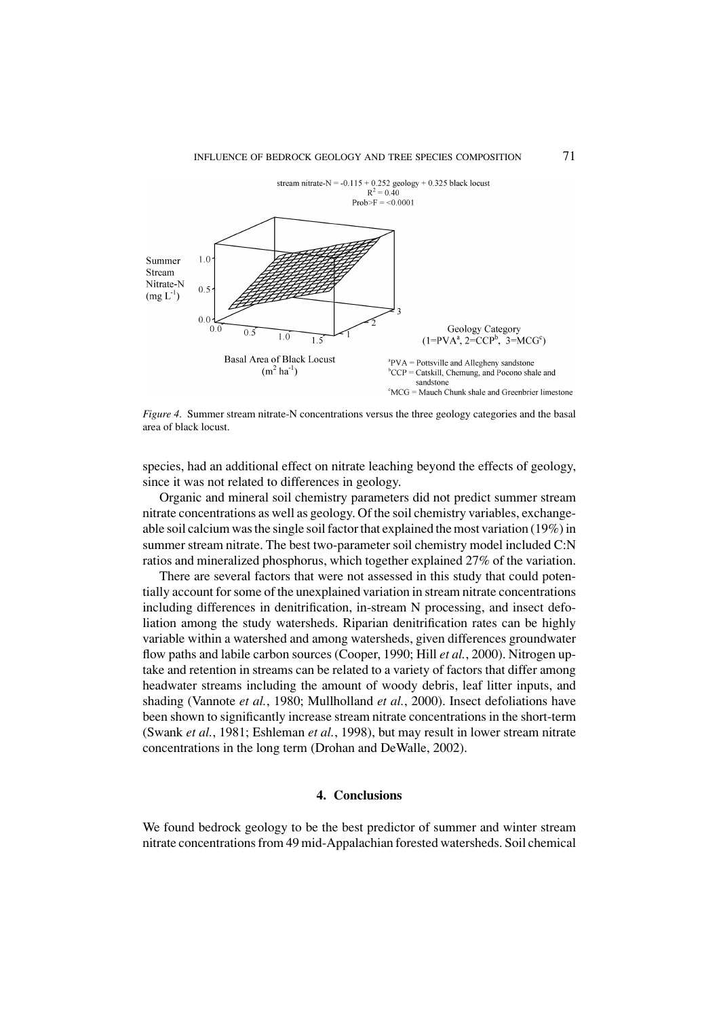

*Figure 4*. Summer stream nitrate-N concentrations versus the three geology categories and the basal area of black locust.

species, had an additional effect on nitrate leaching beyond the effects of geology, since it was not related to differences in geology.

Organic and mineral soil chemistry parameters did not predict summer stream nitrate concentrations as well as geology. Of the soil chemistry variables, exchangeable soil calcium was the single soil factor that explained the most variation (19%) in summer stream nitrate. The best two-parameter soil chemistry model included C:N ratios and mineralized phosphorus, which together explained 27% of the variation.

There are several factors that were not assessed in this study that could potentially account for some of the unexplained variation in stream nitrate concentrations including differences in denitrification, in-stream N processing, and insect defoliation among the study watersheds. Riparian denitrification rates can be highly variable within a watershed and among watersheds, given differences groundwater flow paths and labile carbon sources (Cooper, 1990; Hill *et al.*, 2000). Nitrogen uptake and retention in streams can be related to a variety of factors that differ among headwater streams including the amount of woody debris, leaf litter inputs, and shading (Vannote *et al.*, 1980; Mullholland *et al.*, 2000). Insect defoliations have been shown to significantly increase stream nitrate concentrations in the short-term (Swank *et al.*, 1981; Eshleman *et al.*, 1998), but may result in lower stream nitrate concentrations in the long term (Drohan and DeWalle, 2002).

# **4. Conclusions**

We found bedrock geology to be the best predictor of summer and winter stream nitrate concentrations from 49 mid-Appalachian forested watersheds. Soil chemical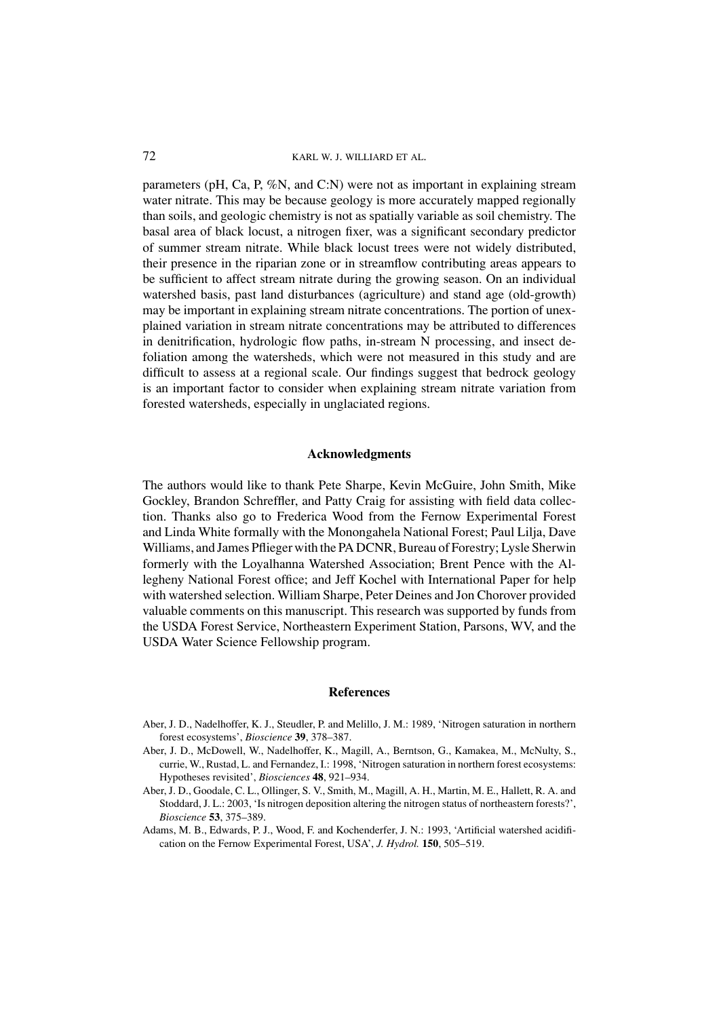72 KARL W. J. WILLIARD ET AL.

parameters (pH, Ca, P, %N, and C:N) were not as important in explaining stream water nitrate. This may be because geology is more accurately mapped regionally than soils, and geologic chemistry is not as spatially variable as soil chemistry. The basal area of black locust, a nitrogen fixer, was a significant secondary predictor of summer stream nitrate. While black locust trees were not widely distributed, their presence in the riparian zone or in streamflow contributing areas appears to be sufficient to affect stream nitrate during the growing season. On an individual watershed basis, past land disturbances (agriculture) and stand age (old-growth) may be important in explaining stream nitrate concentrations. The portion of unexplained variation in stream nitrate concentrations may be attributed to differences in denitrification, hydrologic flow paths, in-stream N processing, and insect defoliation among the watersheds, which were not measured in this study and are difficult to assess at a regional scale. Our findings suggest that bedrock geology is an important factor to consider when explaining stream nitrate variation from forested watersheds, especially in unglaciated regions.

### **Acknowledgments**

The authors would like to thank Pete Sharpe, Kevin McGuire, John Smith, Mike Gockley, Brandon Schreffler, and Patty Craig for assisting with field data collection. Thanks also go to Frederica Wood from the Fernow Experimental Forest and Linda White formally with the Monongahela National Forest; Paul Lilja, Dave Williams, and James Pflieger with the PA DCNR, Bureau of Forestry; Lysle Sherwin formerly with the Loyalhanna Watershed Association; Brent Pence with the Allegheny National Forest office; and Jeff Kochel with International Paper for help with watershed selection. William Sharpe, Peter Deines and Jon Chorover provided valuable comments on this manuscript. This research was supported by funds from the USDA Forest Service, Northeastern Experiment Station, Parsons, WV, and the USDA Water Science Fellowship program.

#### **References**

- Aber, J. D., Nadelhoffer, K. J., Steudler, P. and Melillo, J. M.: 1989, 'Nitrogen saturation in northern forest ecosystems', *Bioscience* **39**, 378–387.
- Aber, J. D., McDowell, W., Nadelhoffer, K., Magill, A., Berntson, G., Kamakea, M., McNulty, S., currie, W., Rustad, L. and Fernandez, I.: 1998, 'Nitrogen saturation in northern forest ecosystems: Hypotheses revisited', *Biosciences* **48**, 921–934.
- Aber, J. D., Goodale, C. L., Ollinger, S. V., Smith, M., Magill, A. H., Martin, M. E., Hallett, R. A. and Stoddard, J. L.: 2003, 'Is nitrogen deposition altering the nitrogen status of northeastern forests?', *Bioscience* **53**, 375–389.
- Adams, M. B., Edwards, P. J., Wood, F. and Kochenderfer, J. N.: 1993, 'Artificial watershed acidification on the Fernow Experimental Forest, USA', *J. Hydrol.* **150**, 505–519.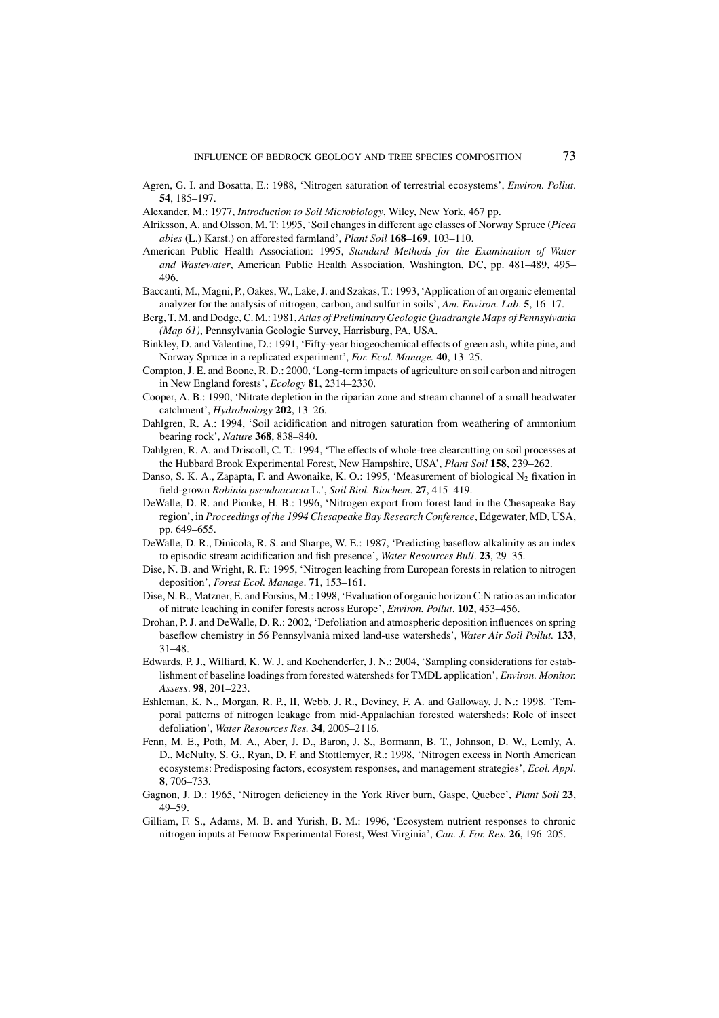Agren, G. I. and Bosatta, E.: 1988, 'Nitrogen saturation of terrestrial ecosystems', *Environ. Pollut*. **54**, 185–197.

Alexander, M.: 1977, *Introduction to Soil Microbiology*, Wiley, New York, 467 pp.

- Alriksson, A. and Olsson, M. T: 1995, 'Soil changes in different age classes of Norway Spruce (*Picea abies* (L.) Karst.) on afforested farmland', *Plant Soil* **168**–**169**, 103–110.
- American Public Health Association: 1995, *Standard Methods for the Examination of Water and Wastewater*, American Public Health Association, Washington, DC, pp. 481–489, 495– 496.
- Baccanti, M., Magni, P., Oakes, W., Lake, J. and Szakas, T.: 1993, 'Application of an organic elemental analyzer for the analysis of nitrogen, carbon, and sulfur in soils', *Am. Environ. Lab*. **5**, 16–17.
- Berg, T. M. and Dodge, C. M.: 1981, *Atlas of Preliminary Geologic Quadrangle Maps of Pennsylvania (Map 61)*, Pennsylvania Geologic Survey, Harrisburg, PA, USA.
- Binkley, D. and Valentine, D.: 1991, 'Fifty-year biogeochemical effects of green ash, white pine, and Norway Spruce in a replicated experiment', *For. Ecol. Manage.* **40**, 13–25.
- Compton, J. E. and Boone, R. D.: 2000, 'Long-term impacts of agriculture on soil carbon and nitrogen in New England forests', *Ecology* **81**, 2314–2330.
- Cooper, A. B.: 1990, 'Nitrate depletion in the riparian zone and stream channel of a small headwater catchment', *Hydrobiology* **202**, 13–26.
- Dahlgren, R. A.: 1994, 'Soil acidification and nitrogen saturation from weathering of ammonium bearing rock', *Nature* **368**, 838–840.
- Dahlgren, R. A. and Driscoll, C. T.: 1994, 'The effects of whole-tree clearcutting on soil processes at the Hubbard Brook Experimental Forest, New Hampshire, USA', *Plant Soil* **158**, 239–262.
- Danso, S. K. A., Zapapta, F. and Awonaike, K. O.: 1995, 'Measurement of biological  $N_2$  fixation in field-grown *Robinia pseudoacacia* L.', *Soil Biol. Biochem*. **27**, 415–419.
- DeWalle, D. R. and Pionke, H. B.: 1996, 'Nitrogen export from forest land in the Chesapeake Bay region', in *Proceedings of the 1994 Chesapeake Bay Research Conference*, Edgewater, MD, USA, pp. 649–655.
- DeWalle, D. R., Dinicola, R. S. and Sharpe, W. E.: 1987, 'Predicting baseflow alkalinity as an index to episodic stream acidification and fish presence', *Water Resources Bull*. **23**, 29–35.
- Dise, N. B. and Wright, R. F.: 1995, 'Nitrogen leaching from European forests in relation to nitrogen deposition', *Forest Ecol. Manage*. **71**, 153–161.
- Dise, N. B., Matzner, E. and Forsius, M.: 1998, 'Evaluation of organic horizon C:N ratio as an indicator of nitrate leaching in conifer forests across Europe', *Environ. Pollut*. **102**, 453–456.
- Drohan, P. J. and DeWalle, D. R.: 2002, 'Defoliation and atmospheric deposition influences on spring baseflow chemistry in 56 Pennsylvania mixed land-use watersheds', *Water Air Soil Pollut.* **133**, 31–48.
- Edwards, P. J., Williard, K. W. J. and Kochenderfer, J. N.: 2004, 'Sampling considerations for establishment of baseline loadings from forested watersheds for TMDL application', *Environ. Monitor. Assess*. **98**, 201–223.
- Eshleman, K. N., Morgan, R. P., II, Webb, J. R., Deviney, F. A. and Galloway, J. N.: 1998. 'Temporal patterns of nitrogen leakage from mid-Appalachian forested watersheds: Role of insect defoliation', *Water Resources Res.* **34**, 2005–2116.
- Fenn, M. E., Poth, M. A., Aber, J. D., Baron, J. S., Bormann, B. T., Johnson, D. W., Lemly, A. D., McNulty, S. G., Ryan, D. F. and Stottlemyer, R.: 1998, 'Nitrogen excess in North American ecosystems: Predisposing factors, ecosystem responses, and management strategies', *Ecol. Appl*. **8**, 706–733.
- Gagnon, J. D.: 1965, 'Nitrogen deficiency in the York River burn, Gaspe, Quebec', *Plant Soil* **23**, 49–59.
- Gilliam, F. S., Adams, M. B. and Yurish, B. M.: 1996, 'Ecosystem nutrient responses to chronic nitrogen inputs at Fernow Experimental Forest, West Virginia', *Can. J. For. Res.* **26**, 196–205.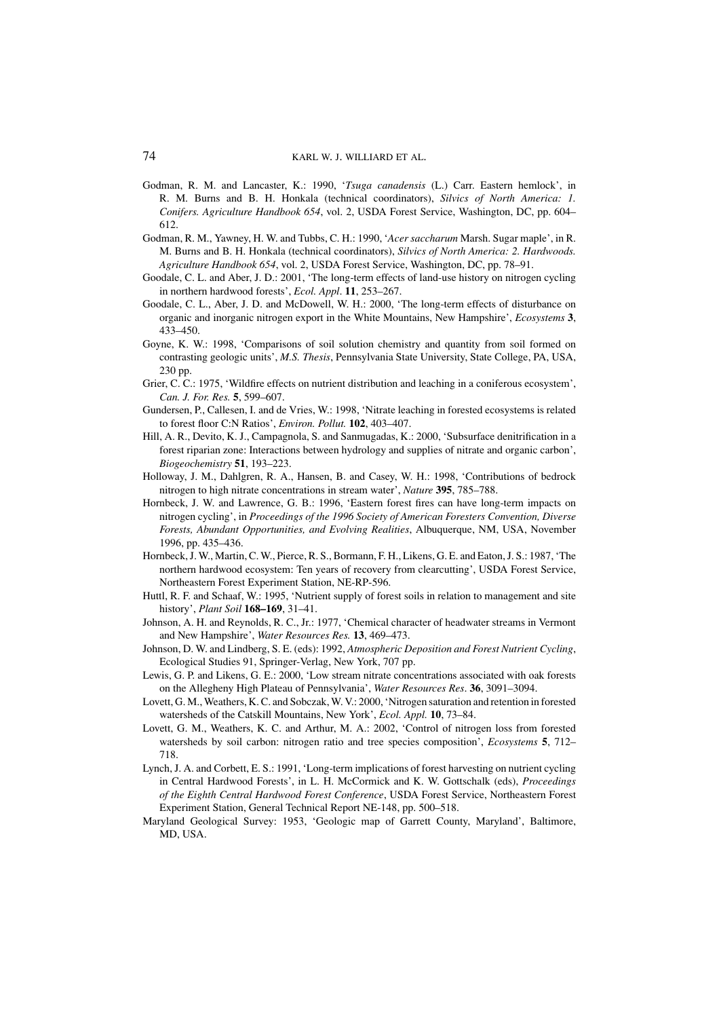- Godman, R. M. and Lancaster, K.: 1990, '*Tsuga canadensis* (L.) Carr. Eastern hemlock', in R. M. Burns and B. H. Honkala (technical coordinators), *Silvics of North America: 1. Conifers. Agriculture Handbook 654*, vol. 2, USDA Forest Service, Washington, DC, pp. 604– 612.
- Godman, R. M., Yawney, H. W. and Tubbs, C. H.: 1990, '*Acer saccharum* Marsh. Sugar maple', in R. M. Burns and B. H. Honkala (technical coordinators), *Silvics of North America: 2. Hardwoods. Agriculture Handbook 654*, vol. 2, USDA Forest Service, Washington, DC, pp. 78–91.
- Goodale, C. L. and Aber, J. D.: 2001, 'The long-term effects of land-use history on nitrogen cycling in northern hardwood forests', *Ecol. Appl*. **11**, 253–267.
- Goodale, C. L., Aber, J. D. and McDowell, W. H.: 2000, 'The long-term effects of disturbance on organic and inorganic nitrogen export in the White Mountains, New Hampshire', *Ecosystems* **3**, 433–450.
- Goyne, K. W.: 1998, 'Comparisons of soil solution chemistry and quantity from soil formed on contrasting geologic units', *M.S. Thesis*, Pennsylvania State University, State College, PA, USA, 230 pp.
- Grier, C. C.: 1975, 'Wildfire effects on nutrient distribution and leaching in a coniferous ecosystem', *Can. J. For. Res.* **5**, 599–607.
- Gundersen, P., Callesen, I. and de Vries, W.: 1998, 'Nitrate leaching in forested ecosystems is related to forest floor C:N Ratios', *Environ. Pollut.* **102**, 403–407.
- Hill, A. R., Devito, K. J., Campagnola, S. and Sanmugadas, K.: 2000, 'Subsurface denitrification in a forest riparian zone: Interactions between hydrology and supplies of nitrate and organic carbon', *Biogeochemistry* **51**, 193–223.
- Holloway, J. M., Dahlgren, R. A., Hansen, B. and Casey, W. H.: 1998, 'Contributions of bedrock nitrogen to high nitrate concentrations in stream water', *Nature* **395**, 785–788.
- Hornbeck, J. W. and Lawrence, G. B.: 1996, 'Eastern forest fires can have long-term impacts on nitrogen cycling', in *Proceedings of the 1996 Society of American Foresters Convention, Diverse Forests, Abundant Opportunities, and Evolving Realities*, Albuquerque, NM, USA, November 1996, pp. 435–436.
- Hornbeck, J. W., Martin, C. W., Pierce, R. S., Bormann, F. H., Likens, G. E. and Eaton, J. S.: 1987, 'The northern hardwood ecosystem: Ten years of recovery from clearcutting', USDA Forest Service, Northeastern Forest Experiment Station, NE-RP-596.
- Huttl, R. F. and Schaaf, W.: 1995, 'Nutrient supply of forest soils in relation to management and site history', *Plant Soil* **168–169**, 31–41.
- Johnson, A. H. and Reynolds, R. C., Jr.: 1977, 'Chemical character of headwater streams in Vermont and New Hampshire', *Water Resources Res.* **13**, 469–473.
- Johnson, D. W. and Lindberg, S. E. (eds): 1992, *Atmospheric Deposition and Forest Nutrient Cycling*, Ecological Studies 91, Springer-Verlag, New York, 707 pp.
- Lewis, G. P. and Likens, G. E.: 2000, 'Low stream nitrate concentrations associated with oak forests on the Allegheny High Plateau of Pennsylvania', *Water Resources Res*. **36**, 3091–3094.
- Lovett, G. M., Weathers, K. C. and Sobczak, W. V.: 2000, 'Nitrogen saturation and retention in forested watersheds of the Catskill Mountains, New York', *Ecol. Appl.* **10**, 73–84.
- Lovett, G. M., Weathers, K. C. and Arthur, M. A.: 2002, 'Control of nitrogen loss from forested watersheds by soil carbon: nitrogen ratio and tree species composition', *Ecosystems* **5**, 712– 718.
- Lynch, J. A. and Corbett, E. S.: 1991, 'Long-term implications of forest harvesting on nutrient cycling in Central Hardwood Forests', in L. H. McCormick and K. W. Gottschalk (eds), *Proceedings of the Eighth Central Hardwood Forest Conference*, USDA Forest Service, Northeastern Forest Experiment Station, General Technical Report NE-148, pp. 500–518.
- Maryland Geological Survey: 1953, 'Geologic map of Garrett County, Maryland', Baltimore, MD, USA.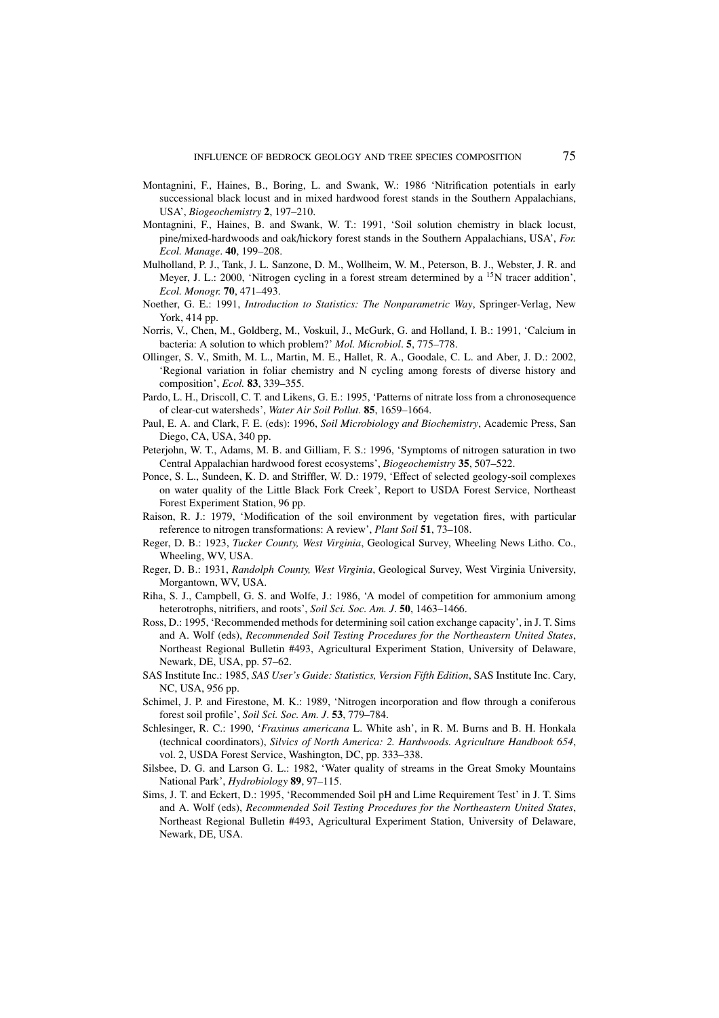- Montagnini, F., Haines, B., Boring, L. and Swank, W.: 1986 'Nitrification potentials in early successional black locust and in mixed hardwood forest stands in the Southern Appalachians, USA', *Biogeochemistry* **2**, 197–210.
- Montagnini, F., Haines, B. and Swank, W. T.: 1991, 'Soil solution chemistry in black locust, pine/mixed-hardwoods and oak/hickory forest stands in the Southern Appalachians, USA', *For. Ecol. Manage*. **40**, 199–208.
- Mulholland, P. J., Tank, J. L. Sanzone, D. M., Wollheim, W. M., Peterson, B. J., Webster, J. R. and Meyer, J. L.: 2000, 'Nitrogen cycling in a forest stream determined by a  $15N$  tracer addition', *Ecol. Monogr.* **70**, 471–493.
- Noether, G. E.: 1991, *Introduction to Statistics: The Nonparametric Way*, Springer-Verlag, New York, 414 pp.
- Norris, V., Chen, M., Goldberg, M., Voskuil, J., McGurk, G. and Holland, I. B.: 1991, 'Calcium in bacteria: A solution to which problem?' *Mol. Microbiol*. **5**, 775–778.
- Ollinger, S. V., Smith, M. L., Martin, M. E., Hallet, R. A., Goodale, C. L. and Aber, J. D.: 2002, 'Regional variation in foliar chemistry and N cycling among forests of diverse history and composition', *Ecol.* **83**, 339–355.
- Pardo, L. H., Driscoll, C. T. and Likens, G. E.: 1995, 'Patterns of nitrate loss from a chronosequence of clear-cut watersheds', *Water Air Soil Pollut.* **85**, 1659–1664.
- Paul, E. A. and Clark, F. E. (eds): 1996, *Soil Microbiology and Biochemistry*, Academic Press, San Diego, CA, USA, 340 pp.
- Peterjohn, W. T., Adams, M. B. and Gilliam, F. S.: 1996, 'Symptoms of nitrogen saturation in two Central Appalachian hardwood forest ecosystems', *Biogeochemistry* **35**, 507–522.
- Ponce, S. L., Sundeen, K. D. and Striffler, W. D.: 1979, 'Effect of selected geology-soil complexes on water quality of the Little Black Fork Creek', Report to USDA Forest Service, Northeast Forest Experiment Station, 96 pp.
- Raison, R. J.: 1979, 'Modification of the soil environment by vegetation fires, with particular reference to nitrogen transformations: A review', *Plant Soil* **51**, 73–108.
- Reger, D. B.: 1923, *Tucker County, West Virginia*, Geological Survey, Wheeling News Litho. Co., Wheeling, WV, USA.
- Reger, D. B.: 1931, *Randolph County, West Virginia*, Geological Survey, West Virginia University, Morgantown, WV, USA.
- Riha, S. J., Campbell, G. S. and Wolfe, J.: 1986, 'A model of competition for ammonium among heterotrophs, nitrifiers, and roots', *Soil Sci. Soc. Am. J*. **50**, 1463–1466.
- Ross, D.: 1995, 'Recommended methods for determining soil cation exchange capacity', in J. T. Sims and A. Wolf (eds), *Recommended Soil Testing Procedures for the Northeastern United States*, Northeast Regional Bulletin #493, Agricultural Experiment Station, University of Delaware, Newark, DE, USA, pp. 57–62.
- SAS Institute Inc.: 1985, *SAS User's Guide: Statistics, Version Fifth Edition*, SAS Institute Inc. Cary, NC, USA, 956 pp.
- Schimel, J. P. and Firestone, M. K.: 1989, 'Nitrogen incorporation and flow through a coniferous forest soil profile', *Soil Sci. Soc. Am. J*. **53**, 779–784.
- Schlesinger, R. C.: 1990, '*Fraxinus americana* L. White ash', in R. M. Burns and B. H. Honkala (technical coordinators), *Silvics of North America: 2. Hardwoods. Agriculture Handbook 654*, vol. 2, USDA Forest Service, Washington, DC, pp. 333–338.
- Silsbee, D. G. and Larson G. L.: 1982, 'Water quality of streams in the Great Smoky Mountains National Park', *Hydrobiology* **89**, 97–115.
- Sims, J. T. and Eckert, D.: 1995, 'Recommended Soil pH and Lime Requirement Test' in J. T. Sims and A. Wolf (eds), *Recommended Soil Testing Procedures for the Northeastern United States*, Northeast Regional Bulletin #493, Agricultural Experiment Station, University of Delaware, Newark, DE, USA.